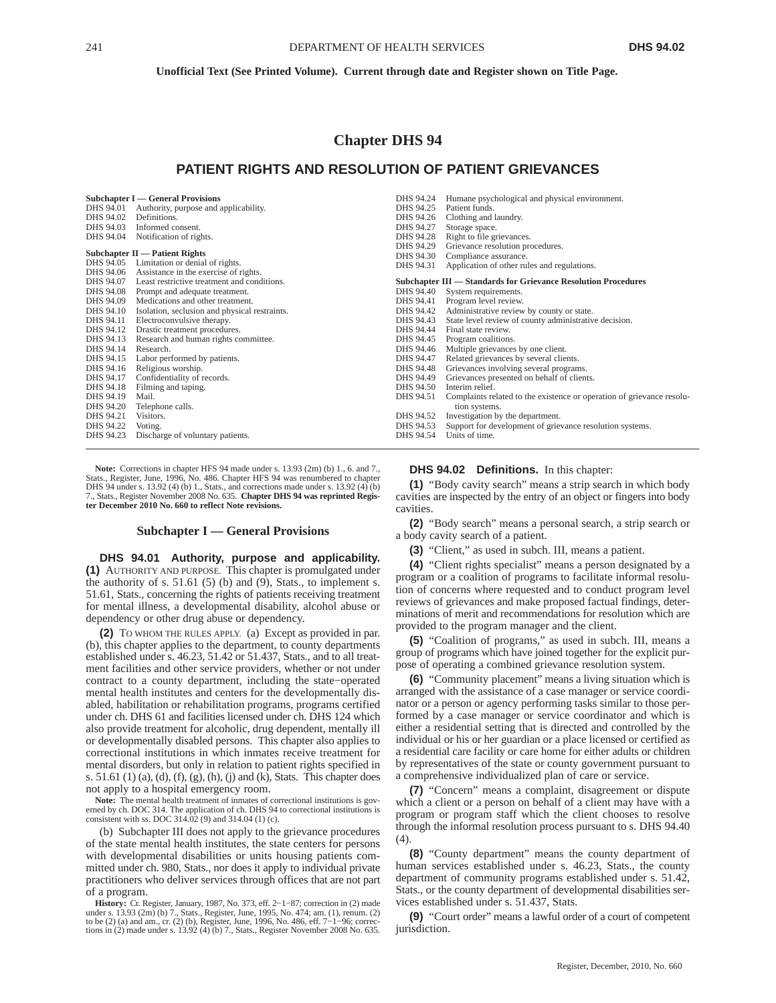## **Chapter DHS 94**

# **PATIENT RIGHTS AND RESOLUTION OF PATIENT GRIEVANCES**

| Subchapter I — General Provisions |                                                       | DHS 94.24 | Humane psychological and physical environment.                        |
|-----------------------------------|-------------------------------------------------------|-----------|-----------------------------------------------------------------------|
| DHS 94.01                         | Authority, purpose and applicability.                 | DHS 94.25 | Patient funds.                                                        |
| DHS 94.02                         | Definitions.                                          | DHS 94.26 | Clothing and laundry.                                                 |
| DHS 94.03                         | Informed consent.                                     | DHS 94.27 | Storage space.                                                        |
| DHS 94.04                         | Notification of rights.                               | DHS 94.28 | Right to file grievances.                                             |
|                                   |                                                       | DHS 94.29 | Grievance resolution procedures.                                      |
| Subchapter II — Patient Rights    |                                                       | DHS 94.30 | Compliance assurance.                                                 |
| DHS 94.05                         | Limitation or denial of rights.                       | DHS 94.31 | Application of other rules and regulations.                           |
|                                   | DHS 94.06 Assistance in the exercise of rights.       |           |                                                                       |
|                                   | DHS 94.07 Least restrictive treatment and conditions. |           | Subchapter III — Standards for Grievance Resolution Procedures        |
| DHS 94.08                         | Prompt and adequate treatment.                        | DHS 94.40 | System requirements.                                                  |
| DHS 94.09                         | Medications and other treatment.                      | DHS 94.41 | Program level review.                                                 |
| DHS 94.10                         | Isolation, seclusion and physical restraints.         | DHS 94.42 | Administrative review by county or state.                             |
| DHS 94.11                         | Electroconvulsive therapy.                            | DHS 94.43 | State level review of county administrative decision.                 |
| DHS 94.12                         | Drastic treatment procedures.                         | DHS 94.44 | Final state review.                                                   |
| DHS 94.13                         | Research and human rights committee.                  | DHS 94.45 | Program coalitions.                                                   |
| DHS 94.14                         | Research.                                             | DHS 94.46 | Multiple grievances by one client.                                    |
| DHS 94.15                         | Labor performed by patients.                          | DHS 94.47 | Related grievances by several clients.                                |
| DHS 94.16                         | Religious worship.                                    | DHS 94.48 | Grievances involving several programs.                                |
| DHS 94.17                         | Confidentiality of records.                           | DHS 94.49 | Grievances presented on behalf of clients.                            |
| DHS 94.18                         | Filming and taping.                                   | DHS 94.50 | Interim relief.                                                       |
| DHS 94.19                         | Mail.                                                 | DHS 94.51 | Complaints related to the existence or operation of grievance resolu- |
| DHS 94.20                         | Telephone calls.                                      |           | tion systems.                                                         |
| DHS 94.21                         | Visitors.                                             | DHS 94.52 | Investigation by the department.                                      |
| DHS 94.22                         | Voting.                                               | DHS 94.53 | Support for development of grievance resolution systems.              |
| DHS 94.23                         | Discharge of voluntary patients.                      | DHS 94.54 | Units of time.                                                        |

Note: Corrections in chapter HFS 94 made under s. 13.93 (2m) (b) 1., 6. and 7., Stats., Register, June, 1996, No. 486. Chapter HFS 94 was renumbered to chapter DHS 94 under s. 13.92 (4) (b) 1., Stats., and corrections made under s. 13.92 (4) (b) 7., Stats., Register November 2008 No. 635. **Chapter DHS 94 was reprinted Regis-ter December 2010 No. 660 to reflect Note revisions.**

## **Subchapter I — General Provisions**

**DHS 94.01 Authority, purpose and applicability. (1)** AUTHORITY AND PURPOSE. This chapter is promulgated under the authority of s.  $51.61$  (5) (b) and (9), Stats., to implement s. 51.61, Stats., concerning the rights of patients receiving treatment for mental illness, a developmental disability, alcohol abuse or dependency or other drug abuse or dependency.

**(2)** TO WHOM THE RULES APPLY. (a) Except as provided in par. (b), this chapter applies to the department, to county departments established under s. 46.23, 51.42 or 51.437, Stats., and to all treatment facilities and other service providers, whether or not under contract to a county department, including the state−operated mental health institutes and centers for the developmentally disabled, habilitation or rehabilitation programs, programs certified under ch. DHS 61 and facilities licensed under ch. DHS 124 which also provide treatment for alcoholic, drug dependent, mentally ill or developmentally disabled persons. This chapter also applies to correctional institutions in which inmates receive treatment for mental disorders, but only in relation to patient rights specified in s. 51.61 (1) (a), (d), (f), (g), (h), (j) and (k), Stats. This chapter does not apply to a hospital emergency room.

**Note:** The mental health treatment of inmates of correctional institutions is governed by ch. DOC 314. The application of ch. DHS 94 to correctional institutions is consistent with ss. DOC 314.02 (9) and 314.04 (1) (c).

(b) Subchapter III does not apply to the grievance procedures of the state mental health institutes, the state centers for persons with developmental disabilities or units housing patients committed under ch. 980, Stats., nor does it apply to individual private practitioners who deliver services through offices that are not part of a program.

**History:** Cr. Register, January, 1987, No. 373, eff. 2−1−87; correction in (2) made under s. 13.93 (2m) (b) 7., Stats., Register, June, 1995, No. 474; am. (1), renum. (2)<br>to be (2) (a) and am., cr. (2) (b), Register, June, 1996, No. 486, eff. 7–1–96; correc-<br>tions in (2) made under s. 13.92 (4) (b) 7., St

#### **DHS 94.02 Definitions.** In this chapter:

**(1)** "Body cavity search" means a strip search in which body cavities are inspected by the entry of an object or fingers into body cavities.

**(2)** "Body search" means a personal search, a strip search or a body cavity search of a patient.

**(3)** "Client," as used in subch. III, means a patient.

**(4)** "Client rights specialist" means a person designated by a program or a coalition of programs to facilitate informal resolution of concerns where requested and to conduct program level reviews of grievances and make proposed factual findings, determinations of merit and recommendations for resolution which are provided to the program manager and the client.

**(5)** "Coalition of programs," as used in subch. III, means a group of programs which have joined together for the explicit purpose of operating a combined grievance resolution system.

**(6)** "Community placement" means a living situation which is arranged with the assistance of a case manager or service coordinator or a person or agency performing tasks similar to those performed by a case manager or service coordinator and which is either a residential setting that is directed and controlled by the individual or his or her guardian or a place licensed or certified as a residential care facility or care home for either adults or children by representatives of the state or county government pursuant to a comprehensive individualized plan of care or service.

**(7)** "Concern" means a complaint, disagreement or dispute which a client or a person on behalf of a client may have with a program or program staff which the client chooses to resolve through the informal resolution process pursuant to s. DHS 94.40 (4).

**(8)** "County department" means the county department of human services established under s. 46.23, Stats., the county department of community programs established under s. 51.42, Stats., or the county department of developmental disabilities services established under s. 51.437, Stats.

**(9)** "Court order" means a lawful order of a court of competent jurisdiction.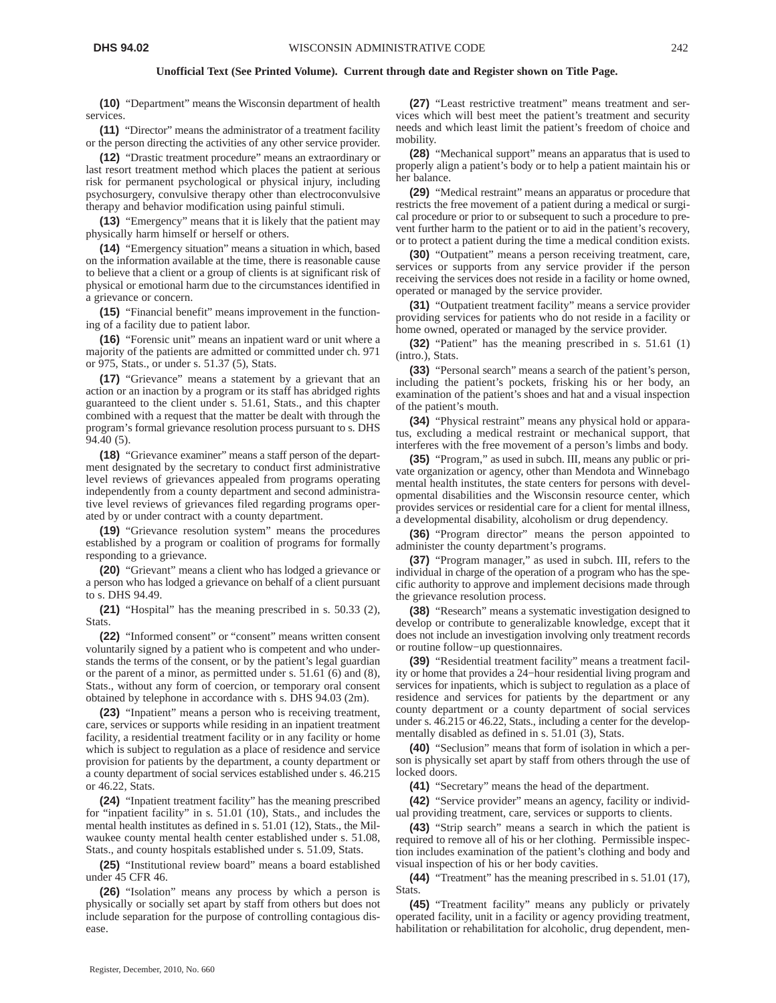**(10)** "Department" means the Wisconsin department of health services.

**(11)** "Director" means the administrator of a treatment facility or the person directing the activities of any other service provider.

**(12)** "Drastic treatment procedure" means an extraordinary or last resort treatment method which places the patient at serious risk for permanent psychological or physical injury, including psychosurgery, convulsive therapy other than electroconvulsive therapy and behavior modification using painful stimuli.

**(13)** "Emergency" means that it is likely that the patient may physically harm himself or herself or others.

**(14)** "Emergency situation" means a situation in which, based on the information available at the time, there is reasonable cause to believe that a client or a group of clients is at significant risk of physical or emotional harm due to the circumstances identified in a grievance or concern.

**(15)** "Financial benefit" means improvement in the functioning of a facility due to patient labor.

**(16)** "Forensic unit" means an inpatient ward or unit where a majority of the patients are admitted or committed under ch. 971 or 975, Stats., or under s. 51.37 (5), Stats.

**(17)** "Grievance" means a statement by a grievant that an action or an inaction by a program or its staff has abridged rights guaranteed to the client under s. 51.61, Stats., and this chapter combined with a request that the matter be dealt with through the program's formal grievance resolution process pursuant to s. DHS 94.40 (5).

**(18)** "Grievance examiner" means a staff person of the department designated by the secretary to conduct first administrative level reviews of grievances appealed from programs operating independently from a county department and second administrative level reviews of grievances filed regarding programs operated by or under contract with a county department.

**(19)** "Grievance resolution system" means the procedures established by a program or coalition of programs for formally responding to a grievance.

**(20)** "Grievant" means a client who has lodged a grievance or a person who has lodged a grievance on behalf of a client pursuant to s. DHS 94.49.

**(21)** "Hospital" has the meaning prescribed in s. 50.33 (2), Stats.

**(22)** "Informed consent" or "consent" means written consent voluntarily signed by a patient who is competent and who understands the terms of the consent, or by the patient's legal guardian or the parent of a minor, as permitted under s. 51.61 (6) and (8), Stats., without any form of coercion, or temporary oral consent obtained by telephone in accordance with s. DHS 94.03 (2m).

**(23)** "Inpatient" means a person who is receiving treatment, care, services or supports while residing in an inpatient treatment facility, a residential treatment facility or in any facility or home which is subject to regulation as a place of residence and service provision for patients by the department, a county department or a county department of social services established under s. 46.215 or 46.22, Stats.

**(24)** "Inpatient treatment facility" has the meaning prescribed for "inpatient facility" in s. 51.01 (10), Stats., and includes the mental health institutes as defined in s. 51.01 (12), Stats., the Milwaukee county mental health center established under s. 51.08, Stats., and county hospitals established under s. 51.09, Stats.

**(25)** "Institutional review board" means a board established under 45 CFR 46.

**(26)** "Isolation" means any process by which a person is physically or socially set apart by staff from others but does not include separation for the purpose of controlling contagious disease.

**(27)** "Least restrictive treatment" means treatment and services which will best meet the patient's treatment and security needs and which least limit the patient's freedom of choice and mobility.

**(28)** "Mechanical support" means an apparatus that is used to properly align a patient's body or to help a patient maintain his or her balance.

**(29)** "Medical restraint" means an apparatus or procedure that restricts the free movement of a patient during a medical or surgical procedure or prior to or subsequent to such a procedure to prevent further harm to the patient or to aid in the patient's recovery, or to protect a patient during the time a medical condition exists.

**(30)** "Outpatient" means a person receiving treatment, care, services or supports from any service provider if the person receiving the services does not reside in a facility or home owned, operated or managed by the service provider.

**(31)** "Outpatient treatment facility" means a service provider providing services for patients who do not reside in a facility or home owned, operated or managed by the service provider.

**(32)** "Patient" has the meaning prescribed in s. 51.61 (1) (intro.), Stats.

**(33)** "Personal search" means a search of the patient's person, including the patient's pockets, frisking his or her body, an examination of the patient's shoes and hat and a visual inspection of the patient's mouth.

**(34)** "Physical restraint" means any physical hold or apparatus, excluding a medical restraint or mechanical support, that interferes with the free movement of a person's limbs and body.

**(35)** "Program," as used in subch. III, means any public or private organization or agency, other than Mendota and Winnebago mental health institutes, the state centers for persons with developmental disabilities and the Wisconsin resource center, which provides services or residential care for a client for mental illness, a developmental disability, alcoholism or drug dependency.

**(36)** "Program director" means the person appointed to administer the county department's programs.

**(37)** "Program manager," as used in subch. III, refers to the individual in charge of the operation of a program who has the specific authority to approve and implement decisions made through the grievance resolution process.

**(38)** "Research" means a systematic investigation designed to develop or contribute to generalizable knowledge, except that it does not include an investigation involving only treatment records or routine follow−up questionnaires.

**(39)** "Residential treatment facility" means a treatment facility or home that provides a 24−hour residential living program and services for inpatients, which is subject to regulation as a place of residence and services for patients by the department or any county department or a county department of social services under s. 46.215 or 46.22, Stats., including a center for the developmentally disabled as defined in s. 51.01 (3), Stats.

**(40)** "Seclusion" means that form of isolation in which a person is physically set apart by staff from others through the use of locked doors.

**(41)** "Secretary" means the head of the department.

**(42)** "Service provider" means an agency, facility or individual providing treatment, care, services or supports to clients.

**(43)** "Strip search" means a search in which the patient is required to remove all of his or her clothing. Permissible inspection includes examination of the patient's clothing and body and visual inspection of his or her body cavities.

**(44)** "Treatment" has the meaning prescribed in s. 51.01 (17), Stats.

**(45)** "Treatment facility" means any publicly or privately operated facility, unit in a facility or agency providing treatment, habilitation or rehabilitation for alcoholic, drug dependent, men-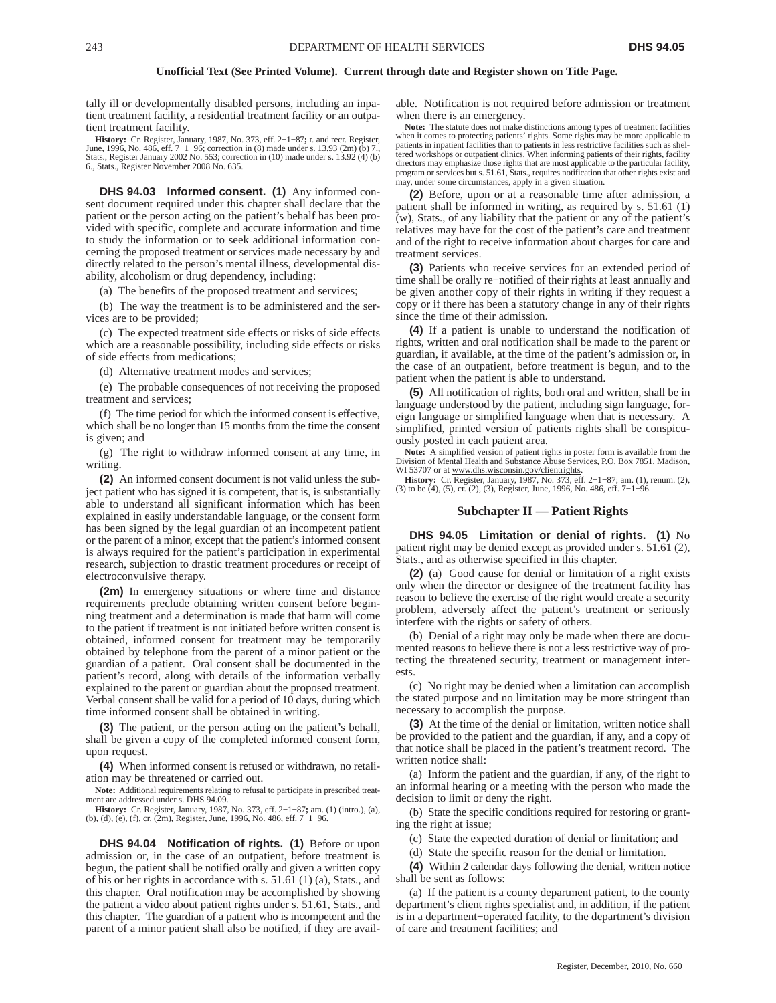tally ill or developmentally disabled persons, including an inpatient treatment facility, a residential treatment facility or an outpatient treatment facility.

**History:** Cr. Register, January, 1987, No. 373, eff. 2–1–87; r. and recr. Register, June, 1996, No. 486, eff. 7–1–96; correction in (8) made under s. 13.93 (2m) (b) 7., June, 1986, Stats..., Register January 2002 No. 553; 6., Stats., Register November 2008 No. 635.

**DHS 94.03 Informed consent. (1)** Any informed consent document required under this chapter shall declare that the patient or the person acting on the patient's behalf has been provided with specific, complete and accurate information and time to study the information or to seek additional information concerning the proposed treatment or services made necessary by and directly related to the person's mental illness, developmental disability, alcoholism or drug dependency, including:

(a) The benefits of the proposed treatment and services;

(b) The way the treatment is to be administered and the services are to be provided;

(c) The expected treatment side effects or risks of side effects which are a reasonable possibility, including side effects or risks of side effects from medications;

(d) Alternative treatment modes and services;

(e) The probable consequences of not receiving the proposed treatment and services;

(f) The time period for which the informed consent is effective, which shall be no longer than 15 months from the time the consent is given; and

(g) The right to withdraw informed consent at any time, in writing.

**(2)** An informed consent document is not valid unless the subject patient who has signed it is competent, that is, is substantially able to understand all significant information which has been explained in easily understandable language, or the consent form has been signed by the legal guardian of an incompetent patient or the parent of a minor, except that the patient's informed consent is always required for the patient's participation in experimental research, subjection to drastic treatment procedures or receipt of electroconvulsive therapy.

**(2m)** In emergency situations or where time and distance requirements preclude obtaining written consent before beginning treatment and a determination is made that harm will come to the patient if treatment is not initiated before written consent is obtained, informed consent for treatment may be temporarily obtained by telephone from the parent of a minor patient or the guardian of a patient. Oral consent shall be documented in the patient's record, along with details of the information verbally explained to the parent or guardian about the proposed treatment. Verbal consent shall be valid for a period of 10 days, during which time informed consent shall be obtained in writing.

**(3)** The patient, or the person acting on the patient's behalf, shall be given a copy of the completed informed consent form, upon request.

**(4)** When informed consent is refused or withdrawn, no retaliation may be threatened or carried out.

**Note:** Additional requirements relating to refusal to participate in prescribed treatment are addressed under s. DHS 94.09.

**History:** Cr. Register, January, 1987, No. 373, eff. 2–1–87**;** am. (1) (intro.), (a), (b), (d), (e), (f), cr. (2m), Register, June, 1996, No. 486, eff. 7–1–96.

**DHS 94.04 Notification of rights. (1)** Before or upon admission or, in the case of an outpatient, before treatment is begun, the patient shall be notified orally and given a written copy of his or her rights in accordance with s. 51.61 (1) (a), Stats., and this chapter. Oral notification may be accomplished by showing the patient a video about patient rights under s. 51.61, Stats., and this chapter. The guardian of a patient who is incompetent and the parent of a minor patient shall also be notified, if they are available. Notification is not required before admission or treatment when there is an emergency.

**Note:** The statute does not make distinctions among types of treatment facilities when it comes to protecting patients' rights. Some rights may be more applicable to patients in inpatient facilities than to patients in less restrictive facilities such as shel-<br>tered workshops or outpatient clinics. When informing patients of their rights, facility<br>directors may emphasize those rights t program or services but s. 51.61, Stats., requires notification that other rights exist and may, under some circumstances, apply in a given situation.

**(2)** Before, upon or at a reasonable time after admission, a patient shall be informed in writing, as required by s. 51.61 (1) (w), Stats., of any liability that the patient or any of the patient's relatives may have for the cost of the patient's care and treatment and of the right to receive information about charges for care and treatment services.

**(3)** Patients who receive services for an extended period of time shall be orally re−notified of their rights at least annually and be given another copy of their rights in writing if they request a copy or if there has been a statutory change in any of their rights since the time of their admission.

**(4)** If a patient is unable to understand the notification of rights, written and oral notification shall be made to the parent or guardian, if available, at the time of the patient's admission or, in the case of an outpatient, before treatment is begun, and to the patient when the patient is able to understand.

**(5)** All notification of rights, both oral and written, shall be in language understood by the patient, including sign language, foreign language or simplified language when that is necessary. A simplified, printed version of patients rights shall be conspicuously posted in each patient area.

**Note:** A simplified version of patient rights in poster form is available from the Division of Mental Health and Substance Abuse Services, P.O. Box 7851, Madison, WI 53707 or at www.dhs.wisconsin.gov/clientrights.

**History:** Cr. Register, January, 1987, No. 373, eff. 2–1–87; am. (1), renum. (2), (3) to be (4), (5), cr. (2), (3), Register, June, 1996, No. 486, eff. 7–1–96.

## **Subchapter II — Patient Rights**

**DHS 94.05 Limitation or denial of rights. (1)** No patient right may be denied except as provided under s. 51.61 (2), Stats., and as otherwise specified in this chapter.

**(2)** (a) Good cause for denial or limitation of a right exists only when the director or designee of the treatment facility has reason to believe the exercise of the right would create a security problem, adversely affect the patient's treatment or seriously interfere with the rights or safety of others.

(b) Denial of a right may only be made when there are documented reasons to believe there is not a less restrictive way of protecting the threatened security, treatment or management interests.

(c) No right may be denied when a limitation can accomplish the stated purpose and no limitation may be more stringent than necessary to accomplish the purpose.

**(3)** At the time of the denial or limitation, written notice shall be provided to the patient and the guardian, if any, and a copy of that notice shall be placed in the patient's treatment record. The written notice shall:

(a) Inform the patient and the guardian, if any, of the right to an informal hearing or a meeting with the person who made the decision to limit or deny the right.

(b) State the specific conditions required for restoring or granting the right at issue;

(c) State the expected duration of denial or limitation; and

(d) State the specific reason for the denial or limitation.

**(4)** Within 2 calendar days following the denial, written notice shall be sent as follows:

(a) If the patient is a county department patient, to the county department's client rights specialist and, in addition, if the patient is in a department−operated facility, to the department's division of care and treatment facilities; and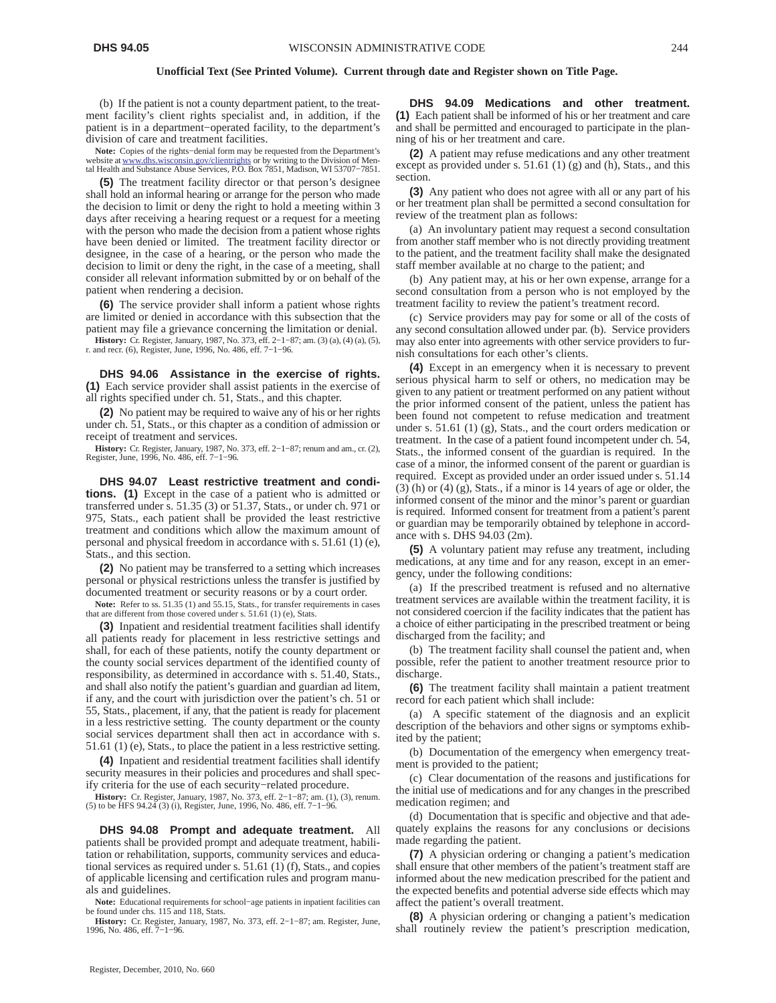(b) If the patient is not a county department patient, to the treatment facility's client rights specialist and, in addition, if the patient is in a department−operated facility, to the department's division of care and treatment facilities.

**Note:** Copies of the rights−denial form may be requested from the Department's website at www.dhs.wisconsin.gov/clientrights or by writing to the Division of Mental Health and Substance Abuse Services, P.O. Box 7851, Madison, WI 53707−7851.

**(5)** The treatment facility director or that person's designee shall hold an informal hearing or arrange for the person who made the decision to limit or deny the right to hold a meeting within 3 days after receiving a hearing request or a request for a meeting with the person who made the decision from a patient whose rights have been denied or limited. The treatment facility director or designee, in the case of a hearing, or the person who made the decision to limit or deny the right, in the case of a meeting, shall consider all relevant information submitted by or on behalf of the patient when rendering a decision.

**(6)** The service provider shall inform a patient whose rights are limited or denied in accordance with this subsection that the patient may file a grievance concerning the limitation or denial.

**History:** Cr. Register, January, 1987, No. 373, eff. 2–1–87; am. (3) (a), (4) (a), (5), r. and recr. (6), Register, June, 1996, No. 486, eff. 7–1–96.

**DHS 94.06 Assistance in the exercise of rights. (1)** Each service provider shall assist patients in the exercise of all rights specified under ch. 51, Stats., and this chapter.

**(2)** No patient may be required to waive any of his or her rights under ch. 51, Stats., or this chapter as a condition of admission or receipt of treatment and services.

**History:** Cr. Register, January, 1987, No. 373, eff. 2−1−87; renum and am., cr. (2), Register, June, 1996, No. 486, eff. 7−1−96.

**DHS 94.07 Least restrictive treatment and conditions. (1)** Except in the case of a patient who is admitted or transferred under s. 51.35 (3) or 51.37, Stats., or under ch. 971 or 975, Stats., each patient shall be provided the least restrictive treatment and conditions which allow the maximum amount of personal and physical freedom in accordance with s. 51.61 (1) (e), Stats., and this section.

**(2)** No patient may be transferred to a setting which increases personal or physical restrictions unless the transfer is justified by documented treatment or security reasons or by a court order.

Note: Refer to ss. 51.35 (1) and 55.15, Stats., for transfer requirements in cases that are different from those covered under s. 51.61 (1) (e), Stats.

**(3)** Inpatient and residential treatment facilities shall identify all patients ready for placement in less restrictive settings and shall, for each of these patients, notify the county department or the county social services department of the identified county of responsibility, as determined in accordance with s. 51.40, Stats., and shall also notify the patient's guardian and guardian ad litem, if any, and the court with jurisdiction over the patient's ch. 51 or 55, Stats., placement, if any, that the patient is ready for placement in a less restrictive setting. The county department or the county social services department shall then act in accordance with s. 51.61 (1) (e), Stats., to place the patient in a less restrictive setting.

**(4)** Inpatient and residential treatment facilities shall identify security measures in their policies and procedures and shall specify criteria for the use of each security−related procedure.

**History:** Cr. Register, January, 1987, No. 373, eff. 2−1−87; am. (1), (3), renum. (5) to be HFS 94.24 (3) (i), Register, June, 1996, No. 486, eff. 7−1−96.

**DHS 94.08 Prompt and adequate treatment.** All patients shall be provided prompt and adequate treatment, habilitation or rehabilitation, supports, community services and educational services as required under s. 51.61 (1) (f), Stats., and copies of applicable licensing and certification rules and program manuals and guidelines.

**Note:** Educational requirements for school−age patients in inpatient facilities can be found under chs. 115 and 118, Stats.

**History:** Cr. Register, January, 1987, No. 373, eff. 2−1−87; am. Register, June, 1996, No. 486, eff. 7−1−96.

**DHS 94.09 Medications and other treatment. (1)** Each patient shall be informed of his or her treatment and care and shall be permitted and encouraged to participate in the planning of his or her treatment and care.

**(2)** A patient may refuse medications and any other treatment except as provided under s. 51.61 (1) (g) and (h), Stats., and this section.

**(3)** Any patient who does not agree with all or any part of his or her treatment plan shall be permitted a second consultation for review of the treatment plan as follows:

(a) An involuntary patient may request a second consultation from another staff member who is not directly providing treatment to the patient, and the treatment facility shall make the designated staff member available at no charge to the patient; and

(b) Any patient may, at his or her own expense, arrange for a second consultation from a person who is not employed by the treatment facility to review the patient's treatment record.

(c) Service providers may pay for some or all of the costs of any second consultation allowed under par. (b). Service providers may also enter into agreements with other service providers to furnish consultations for each other's clients.

**(4)** Except in an emergency when it is necessary to prevent serious physical harm to self or others, no medication may be given to any patient or treatment performed on any patient without the prior informed consent of the patient, unless the patient has been found not competent to refuse medication and treatment under s. 51.61 (1) (g), Stats., and the court orders medication or treatment. In the case of a patient found incompetent under ch. 54, Stats., the informed consent of the guardian is required. In the case of a minor, the informed consent of the parent or guardian is required. Except as provided under an order issued under s. 51.14 (3) (h) or (4) (g), Stats., if a minor is 14 years of age or older, the informed consent of the minor and the minor's parent or guardian is required. Informed consent for treatment from a patient's parent or guardian may be temporarily obtained by telephone in accordance with s. DHS 94.03 (2m).

**(5)** A voluntary patient may refuse any treatment, including medications, at any time and for any reason, except in an emergency, under the following conditions:

(a) If the prescribed treatment is refused and no alternative treatment services are available within the treatment facility, it is not considered coercion if the facility indicates that the patient has a choice of either participating in the prescribed treatment or being discharged from the facility; and

(b) The treatment facility shall counsel the patient and, when possible, refer the patient to another treatment resource prior to discharge.

**(6)** The treatment facility shall maintain a patient treatment record for each patient which shall include:

(a) A specific statement of the diagnosis and an explicit description of the behaviors and other signs or symptoms exhibited by the patient;

(b) Documentation of the emergency when emergency treatment is provided to the patient;

(c) Clear documentation of the reasons and justifications for the initial use of medications and for any changes in the prescribed medication regimen; and

(d) Documentation that is specific and objective and that adequately explains the reasons for any conclusions or decisions made regarding the patient.

**(7)** A physician ordering or changing a patient's medication shall ensure that other members of the patient's treatment staff are informed about the new medication prescribed for the patient and the expected benefits and potential adverse side effects which may affect the patient's overall treatment.

**(8)** A physician ordering or changing a patient's medication shall routinely review the patient's prescription medication,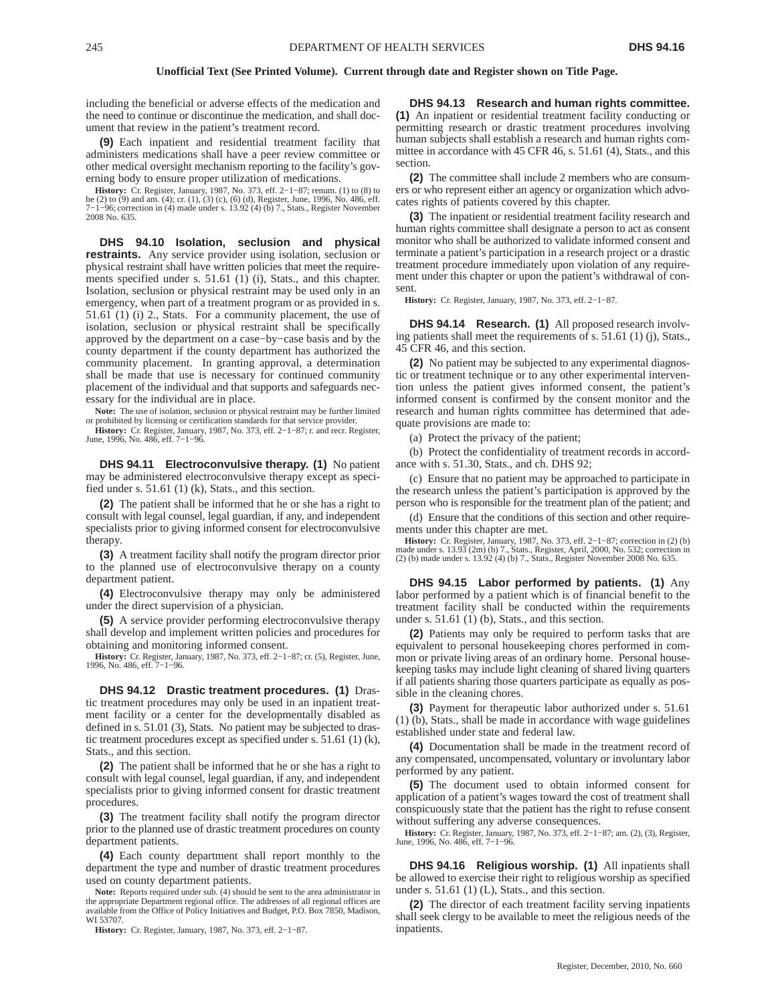including the beneficial or adverse effects of the medication and the need to continue or discontinue the medication, and shall document that review in the patient's treatment record.

**(9)** Each inpatient and residential treatment facility that administers medications shall have a peer review committee or other medical oversight mechanism reporting to the facility's governing body to ensure proper utilization of medications.

**History:** Cr. Register, January, 1987, No. 373, eff. 2−1−87; renum. (1) to (8) to be (2) to (9) and am. (4); cr. (1), (3) (c), (6) (d), Register, June, 1996, No. 486, eff. 7−1−96; correction in (4) made under s. 13.92 (4) (b) 7., Stats., Register November 2008 No. 635.

**DHS 94.10 Isolation, seclusion and physical restraints.** Any service provider using isolation, seclusion or physical restraint shall have written policies that meet the requirements specified under s. 51.61 (1) (i), Stats., and this chapter. Isolation, seclusion or physical restraint may be used only in an emergency, when part of a treatment program or as provided in s. 51.61 (1) (i) 2., Stats. For a community placement, the use of isolation, seclusion or physical restraint shall be specifically approved by the department on a case−by−case basis and by the county department if the county department has authorized the community placement. In granting approval, a determination shall be made that use is necessary for continued community placement of the individual and that supports and safeguards necessary for the individual are in place.

**Note:** The use of isolation, seclusion or physical restraint may be further limited or prohibited by licensing or certification standards for that service provider.

**History:** Cr. Register, January, 1987, No. 373, eff. 2−1−87; r. and recr. Register, June, 1996, No. 486, eff. 7−1−96.

**DHS 94.11 Electroconvulsive therapy. (1)** No patient may be administered electroconvulsive therapy except as specified under s.  $51.61$  (1) (k), Stats., and this section.

**(2)** The patient shall be informed that he or she has a right to consult with legal counsel, legal guardian, if any, and independent specialists prior to giving informed consent for electroconvulsive therapy.

**(3)** A treatment facility shall notify the program director prior to the planned use of electroconvulsive therapy on a county department patient.

**(4)** Electroconvulsive therapy may only be administered under the direct supervision of a physician.

**(5)** A service provider performing electroconvulsive therapy shall develop and implement written policies and procedures for obtaining and monitoring informed consent.

**History:** Cr. Register, January, 1987, No. 373, eff. 2–1–87; cr. (5), Register, June, 1996, No. 486, eff. 7–1–96.

**DHS 94.12 Drastic treatment procedures. (1)** Drastic treatment procedures may only be used in an inpatient treatment facility or a center for the developmentally disabled as defined in s. 51.01 (3), Stats. No patient may be subjected to drastic treatment procedures except as specified under s. 51.61 (1) (k), Stats., and this section.

**(2)** The patient shall be informed that he or she has a right to consult with legal counsel, legal guardian, if any, and independent specialists prior to giving informed consent for drastic treatment procedures.

**(3)** The treatment facility shall notify the program director prior to the planned use of drastic treatment procedures on county department patients.

**(4)** Each county department shall report monthly to the department the type and number of drastic treatment procedures used on county department patients.

**Note:** Reports required under sub. (4) should be sent to the area administrator in the appropriate Department regional office. The addresses of all regional offices are available from the Office of Policy Initiatives and Budget, P.O. Box 7850, Madison, WI 53707.

**History:** Cr. Register, January, 1987, No. 373, eff. 2−1−87.

**DHS 94.13 Research and human rights committee. (1)** An inpatient or residential treatment facility conducting or permitting research or drastic treatment procedures involving human subjects shall establish a research and human rights committee in accordance with 45 CFR 46, s. 51.61 (4), Stats., and this section.

**(2)** The committee shall include 2 members who are consumers or who represent either an agency or organization which advocates rights of patients covered by this chapter.

**(3)** The inpatient or residential treatment facility research and human rights committee shall designate a person to act as consent monitor who shall be authorized to validate informed consent and terminate a patient's participation in a research project or a drastic treatment procedure immediately upon violation of any requirement under this chapter or upon the patient's withdrawal of consent.

**History:** Cr. Register, January, 1987, No. 373, eff. 2−1−87.

**DHS 94.14 Research. (1)** All proposed research involving patients shall meet the requirements of s. 51.61 (1) (j), Stats., 45 CFR 46, and this section.

**(2)** No patient may be subjected to any experimental diagnostic or treatment technique or to any other experimental intervention unless the patient gives informed consent, the patient's informed consent is confirmed by the consent monitor and the research and human rights committee has determined that adequate provisions are made to:

(a) Protect the privacy of the patient;

(b) Protect the confidentiality of treatment records in accordance with s. 51.30, Stats., and ch. DHS 92;

(c) Ensure that no patient may be approached to participate in the research unless the patient's participation is approved by the person who is responsible for the treatment plan of the patient; and

(d) Ensure that the conditions of this section and other requirements under this chapter are met.

**History:** Cr. Register, January, 1987, No. 373, eff. 2–1–87; correction in (2) (b) made under s. 13.93 (2m) (b) 7., Stats., Register, April, 2000, No. 532; correction in (2) (b) made under s. 13.92 (4) (b) 7., Stats., Reg

**DHS 94.15 Labor performed by patients. (1)** Any labor performed by a patient which is of financial benefit to the treatment facility shall be conducted within the requirements under s.  $51.61$  (1) (b), Stats., and this section.

**(2)** Patients may only be required to perform tasks that are equivalent to personal housekeeping chores performed in common or private living areas of an ordinary home. Personal housekeeping tasks may include light cleaning of shared living quarters if all patients sharing those quarters participate as equally as possible in the cleaning chores.

**(3)** Payment for therapeutic labor authorized under s. 51.61 (1) (b), Stats., shall be made in accordance with wage guidelines established under state and federal law.

**(4)** Documentation shall be made in the treatment record of any compensated, uncompensated, voluntary or involuntary labor performed by any patient.

**(5)** The document used to obtain informed consent for application of a patient's wages toward the cost of treatment shall conspicuously state that the patient has the right to refuse consent without suffering any adverse consequences.

**History:** Cr. Register, January, 1987, No. 373, eff. 2−1−87; am. (2), (3), Register, June, 1996, No. 486, eff. 7−1−96.

**DHS 94.16 Religious worship. (1)** All inpatients shall be allowed to exercise their right to religious worship as specified under s.  $51.61$  (1) (L), Stats., and this section.

**(2)** The director of each treatment facility serving inpatients shall seek clergy to be available to meet the religious needs of the inpatients.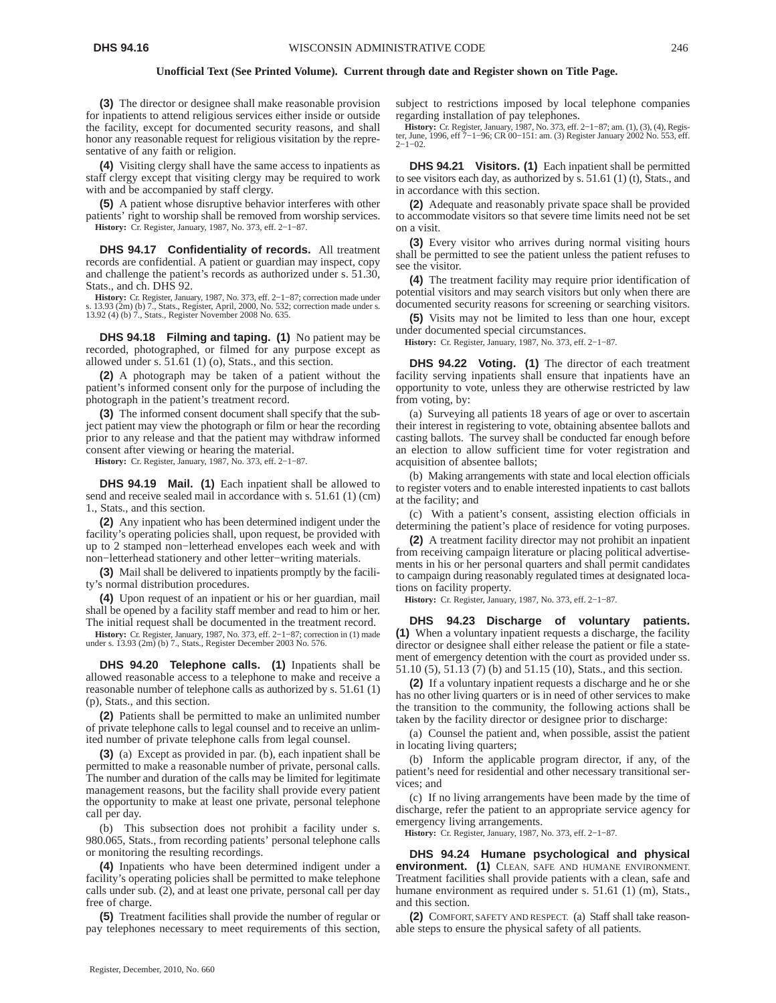**(3)** The director or designee shall make reasonable provision for inpatients to attend religious services either inside or outside the facility, except for documented security reasons, and shall honor any reasonable request for religious visitation by the representative of any faith or religion.

**(4)** Visiting clergy shall have the same access to inpatients as staff clergy except that visiting clergy may be required to work with and be accompanied by staff clergy.

**(5)** A patient whose disruptive behavior interferes with other patients' right to worship shall be removed from worship services. **History:** Cr. Register, January, 1987, No. 373, eff. 2−1−87.

**DHS 94.17 Confidentiality of records.** All treatment records are confidential. A patient or guardian may inspect, copy and challenge the patient's records as authorized under s. 51.30, Stats., and ch. DHS 92.

**History:** Cr. Register, January, 1987, No. 373, eff. 2−1−87; correction made under s. 13.93 (2m) (b) 7., Stats., Register, April, 2000, No. 532; correction made under s. 13.92 (4) (b) 7., Stats., Register November 2008 No. 635.

**DHS 94.18 Filming and taping. (1)** No patient may be recorded, photographed, or filmed for any purpose except as allowed under s. 51.61 (1) (o), Stats., and this section.

**(2)** A photograph may be taken of a patient without the patient's informed consent only for the purpose of including the photograph in the patient's treatment record.

**(3)** The informed consent document shall specify that the subject patient may view the photograph or film or hear the recording prior to any release and that the patient may withdraw informed consent after viewing or hearing the material.

**History:** Cr. Register, January, 1987, No. 373, eff. 2−1−87.

**DHS 94.19 Mail. (1)** Each inpatient shall be allowed to send and receive sealed mail in accordance with s. 51.61 (1) (cm) 1., Stats., and this section.

**(2)** Any inpatient who has been determined indigent under the facility's operating policies shall, upon request, be provided with up to 2 stamped non−letterhead envelopes each week and with non−letterhead stationery and other letter−writing materials.

**(3)** Mail shall be delivered to inpatients promptly by the facility's normal distribution procedures.

**(4)** Upon request of an inpatient or his or her guardian, mail shall be opened by a facility staff member and read to him or her. The initial request shall be documented in the treatment record.

**History:** Cr. Register, January, 1987, No. 373, eff. 2−1−87; correction in (1) made under s. 13.93 (2m) (b) 7., Stats., Register December 2003 No. 576.

**DHS 94.20 Telephone calls. (1)** Inpatients shall be allowed reasonable access to a telephone to make and receive a reasonable number of telephone calls as authorized by s. 51.61 (1) (p), Stats., and this section.

**(2)** Patients shall be permitted to make an unlimited number of private telephone calls to legal counsel and to receive an unlimited number of private telephone calls from legal counsel.

**(3)** (a) Except as provided in par. (b), each inpatient shall be permitted to make a reasonable number of private, personal calls. The number and duration of the calls may be limited for legitimate management reasons, but the facility shall provide every patient the opportunity to make at least one private, personal telephone call per day.

(b) This subsection does not prohibit a facility under s. 980.065, Stats., from recording patients' personal telephone calls or monitoring the resulting recordings.

**(4)** Inpatients who have been determined indigent under a facility's operating policies shall be permitted to make telephone calls under sub. (2), and at least one private, personal call per day free of charge.

**(5)** Treatment facilities shall provide the number of regular or pay telephones necessary to meet requirements of this section, subject to restrictions imposed by local telephone companies regarding installation of pay telephones.

**History:** Cr. Register, January, 1987, No. 373, eff. 2–1–87; am. (1), (3), (4), Regis-<br>ter, June, 1996, eff 7–1–96; CR 00–151: am. (3) Register January 2002 No. 553, eff.<br>2–1–02.

**DHS 94.21 Visitors. (1)** Each inpatient shall be permitted to see visitors each day, as authorized by s. 51.61 (1) (t), Stats., and in accordance with this section.

**(2)** Adequate and reasonably private space shall be provided to accommodate visitors so that severe time limits need not be set on a visit.

**(3)** Every visitor who arrives during normal visiting hours shall be permitted to see the patient unless the patient refuses to see the visitor.

**(4)** The treatment facility may require prior identification of potential visitors and may search visitors but only when there are documented security reasons for screening or searching visitors.

**(5)** Visits may not be limited to less than one hour, except under documented special circumstances.

**History:** Cr. Register, January, 1987, No. 373, eff. 2−1−87.

**DHS 94.22 Voting. (1)** The director of each treatment facility serving inpatients shall ensure that inpatients have an opportunity to vote, unless they are otherwise restricted by law from voting, by:

(a) Surveying all patients 18 years of age or over to ascertain their interest in registering to vote, obtaining absentee ballots and casting ballots. The survey shall be conducted far enough before an election to allow sufficient time for voter registration and acquisition of absentee ballots;

(b) Making arrangements with state and local election officials to register voters and to enable interested inpatients to cast ballots at the facility; and

(c) With a patient's consent, assisting election officials in determining the patient's place of residence for voting purposes.

**(2)** A treatment facility director may not prohibit an inpatient from receiving campaign literature or placing political advertisements in his or her personal quarters and shall permit candidates to campaign during reasonably regulated times at designated locations on facility property.

**History:** Cr. Register, January, 1987, No. 373, eff. 2−1−87.

**DHS 94.23 Discharge of voluntary patients. (1)** When a voluntary inpatient requests a discharge, the facility director or designee shall either release the patient or file a statement of emergency detention with the court as provided under ss. 51.10 (5), 51.13 (7) (b) and 51.15 (10), Stats., and this section.

**(2)** If a voluntary inpatient requests a discharge and he or she has no other living quarters or is in need of other services to make the transition to the community, the following actions shall be taken by the facility director or designee prior to discharge:

(a) Counsel the patient and, when possible, assist the patient in locating living quarters;

(b) Inform the applicable program director, if any, of the patient's need for residential and other necessary transitional services; and

(c) If no living arrangements have been made by the time of discharge, refer the patient to an appropriate service agency for emergency living arrangements.

**History:** Cr. Register, January, 1987, No. 373, eff. 2−1−87.

**DHS 94.24 Humane psychological and physical environment. (1)** CLEAN, SAFE AND HUMANE ENVIRONMENT. Treatment facilities shall provide patients with a clean, safe and humane environment as required under s. 51.61 (1) (m), Stats., and this section.

**(2)** COMFORT, SAFETY AND RESPECT. (a) Staff shall take reasonable steps to ensure the physical safety of all patients.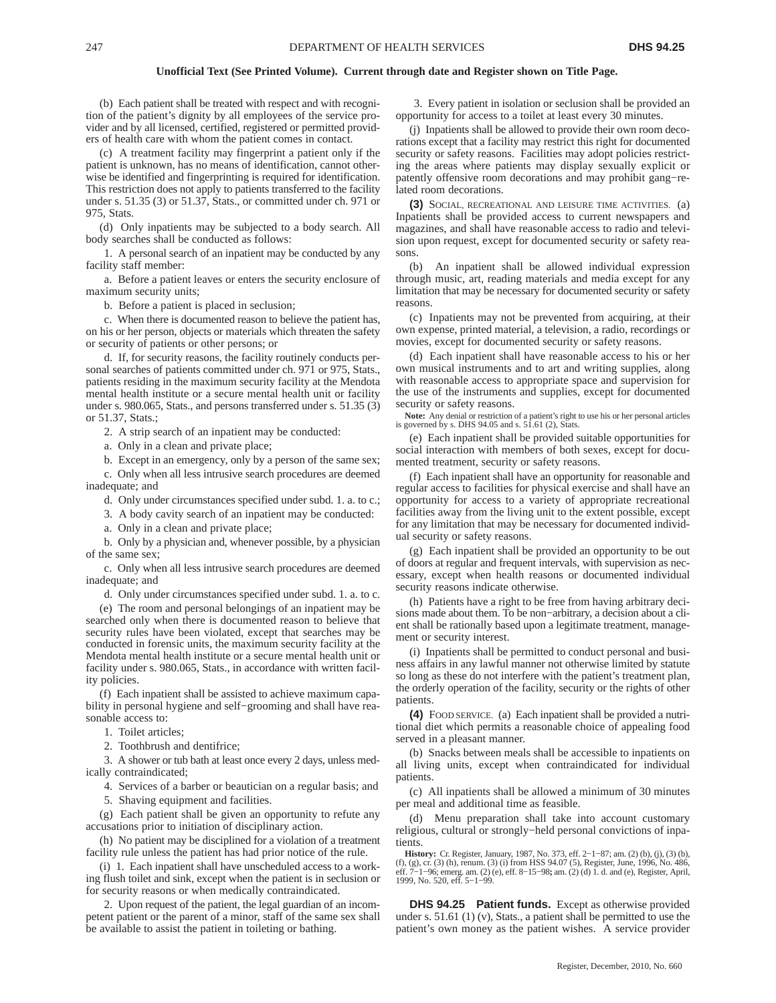(b) Each patient shall be treated with respect and with recognition of the patient's dignity by all employees of the service provider and by all licensed, certified, registered or permitted providers of health care with whom the patient comes in contact.

(c) A treatment facility may fingerprint a patient only if the patient is unknown, has no means of identification, cannot otherwise be identified and fingerprinting is required for identification. This restriction does not apply to patients transferred to the facility under s. 51.35 (3) or 51.37, Stats., or committed under ch. 971 or 975, Stats.

(d) Only inpatients may be subjected to a body search. All body searches shall be conducted as follows:

1. A personal search of an inpatient may be conducted by any facility staff member:

a. Before a patient leaves or enters the security enclosure of maximum security units;

b. Before a patient is placed in seclusion;

c. When there is documented reason to believe the patient has, on his or her person, objects or materials which threaten the safety or security of patients or other persons; or

d. If, for security reasons, the facility routinely conducts personal searches of patients committed under ch. 971 or 975, Stats., patients residing in the maximum security facility at the Mendota mental health institute or a secure mental health unit or facility under s. 980.065, Stats., and persons transferred under s. 51.35 (3) or 51.37, Stats.;

2. A strip search of an inpatient may be conducted:

a. Only in a clean and private place;

b. Except in an emergency, only by a person of the same sex; c. Only when all less intrusive search procedures are deemed inadequate; and

d. Only under circumstances specified under subd. 1. a. to c.;

3. A body cavity search of an inpatient may be conducted:

a. Only in a clean and private place;

b. Only by a physician and, whenever possible, by a physician of the same sex;

c. Only when all less intrusive search procedures are deemed inadequate; and

d. Only under circumstances specified under subd. 1. a. to c.

(e) The room and personal belongings of an inpatient may be searched only when there is documented reason to believe that security rules have been violated, except that searches may be conducted in forensic units, the maximum security facility at the Mendota mental health institute or a secure mental health unit or facility under s. 980.065, Stats., in accordance with written facility policies.

(f) Each inpatient shall be assisted to achieve maximum capability in personal hygiene and self−grooming and shall have reasonable access to:

1. Toilet articles;

2. Toothbrush and dentifrice;

3. A shower or tub bath at least once every 2 days, unless medically contraindicated;

4. Services of a barber or beautician on a regular basis; and

5. Shaving equipment and facilities.

(g) Each patient shall be given an opportunity to refute any accusations prior to initiation of disciplinary action.

(h) No patient may be disciplined for a violation of a treatment facility rule unless the patient has had prior notice of the rule.

(i) 1. Each inpatient shall have unscheduled access to a working flush toilet and sink, except when the patient is in seclusion or for security reasons or when medically contraindicated.

2. Upon request of the patient, the legal guardian of an incompetent patient or the parent of a minor, staff of the same sex shall be available to assist the patient in toileting or bathing.

3. Every patient in isolation or seclusion shall be provided an opportunity for access to a toilet at least every 30 minutes.

(j) Inpatients shall be allowed to provide their own room decorations except that a facility may restrict this right for documented security or safety reasons. Facilities may adopt policies restricting the areas where patients may display sexually explicit or patently offensive room decorations and may prohibit gang−related room decorations.

**(3)** SOCIAL, RECREATIONAL AND LEISURE TIME ACTIVITIES. (a) Inpatients shall be provided access to current newspapers and magazines, and shall have reasonable access to radio and television upon request, except for documented security or safety reasons.

(b) An inpatient shall be allowed individual expression through music, art, reading materials and media except for any limitation that may be necessary for documented security or safety reasons.

(c) Inpatients may not be prevented from acquiring, at their own expense, printed material, a television, a radio, recordings or movies, except for documented security or safety reasons.

(d) Each inpatient shall have reasonable access to his or her own musical instruments and to art and writing supplies, along with reasonable access to appropriate space and supervision for the use of the instruments and supplies, except for documented security or safety reasons.

**Note:** Any denial or restriction of a patient's right to use his or her personal articles is governed by s. DHS 94.05 and s.  $51.61$  (2), Stats.

(e) Each inpatient shall be provided suitable opportunities for social interaction with members of both sexes, except for documented treatment, security or safety reasons.

(f) Each inpatient shall have an opportunity for reasonable and regular access to facilities for physical exercise and shall have an opportunity for access to a variety of appropriate recreational facilities away from the living unit to the extent possible, except for any limitation that may be necessary for documented individual security or safety reasons.

(g) Each inpatient shall be provided an opportunity to be out of doors at regular and frequent intervals, with supervision as necessary, except when health reasons or documented individual security reasons indicate otherwise.

(h) Patients have a right to be free from having arbitrary decisions made about them. To be non−arbitrary, a decision about a client shall be rationally based upon a legitimate treatment, management or security interest.

(i) Inpatients shall be permitted to conduct personal and business affairs in any lawful manner not otherwise limited by statute so long as these do not interfere with the patient's treatment plan, the orderly operation of the facility, security or the rights of other patients.

**(4)** FOOD SERVICE. (a) Each inpatient shall be provided a nutritional diet which permits a reasonable choice of appealing food served in a pleasant manner.

(b) Snacks between meals shall be accessible to inpatients on all living units, except when contraindicated for individual patients.

(c) All inpatients shall be allowed a minimum of 30 minutes per meal and additional time as feasible.

(d) Menu preparation shall take into account customary religious, cultural or strongly−held personal convictions of inpatients.

**History:** Cr. Register, January, 1987, No. 373, eff. 2−1−87; am. (2) (b), (j), (3) (b), (f), (g), cr. (3) (h), renum. (3) (i) from HSS 94.07 (5), Register, June, 1996, No. 486 eff. 7−1−96; emerg. am. (2) (e), eff. 8−15−98**;** am. (2) (d) 1. d. and (e), Register, April, 1999, No. 520, eff. 5−1−99.

**DHS 94.25 Patient funds.** Except as otherwise provided under s. 51.61 (1) (v), Stats., a patient shall be permitted to use the patient's own money as the patient wishes. A service provider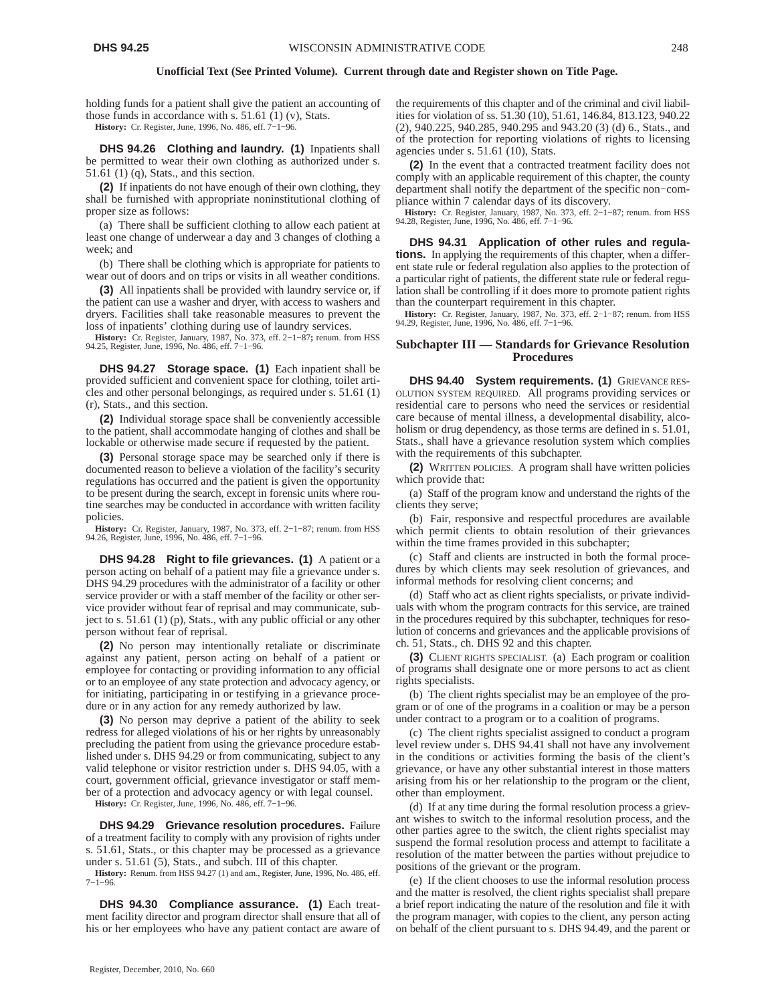holding funds for a patient shall give the patient an accounting of those funds in accordance with s. 51.61 (1) (v), Stats.

**History:** Cr. Register, June, 1996, No. 486, eff. 7−1−96.

**DHS 94.26 Clothing and laundry. (1)** Inpatients shall be permitted to wear their own clothing as authorized under s. 51.61 (1) (q), Stats., and this section.

**(2)** If inpatients do not have enough of their own clothing, they shall be furnished with appropriate noninstitutional clothing of proper size as follows:

(a) There shall be sufficient clothing to allow each patient at least one change of underwear a day and 3 changes of clothing a week; and

(b) There shall be clothing which is appropriate for patients to wear out of doors and on trips or visits in all weather conditions.

**(3)** All inpatients shall be provided with laundry service or, if the patient can use a washer and dryer, with access to washers and dryers. Facilities shall take reasonable measures to prevent the loss of inpatients' clothing during use of laundry services.

**History:** Cr. Register, January, 1987, No. 373, eff. 2−1−87**;** renum. from HSS 94.25, Register, June, 1996, No. 486, eff. 7−1−96.

**DHS 94.27 Storage space. (1)** Each inpatient shall be provided sufficient and convenient space for clothing, toilet articles and other personal belongings, as required under s. 51.61 (1) (r), Stats., and this section.

**(2)** Individual storage space shall be conveniently accessible to the patient, shall accommodate hanging of clothes and shall be lockable or otherwise made secure if requested by the patient.

**(3)** Personal storage space may be searched only if there is documented reason to believe a violation of the facility's security regulations has occurred and the patient is given the opportunity to be present during the search, except in forensic units where routine searches may be conducted in accordance with written facility policies.

**History:** Cr. Register, January, 1987, No. 373, eff. 2−1−87; renum. from HSS 94.26, Register, June, 1996, No. 486, eff. 7−1−96.

**DHS 94.28 Right to file grievances. (1)** A patient or a person acting on behalf of a patient may file a grievance under s. DHS 94.29 procedures with the administrator of a facility or other service provider or with a staff member of the facility or other service provider without fear of reprisal and may communicate, subject to s. 51.61 (1) (p), Stats., with any public official or any other person without fear of reprisal.

**(2)** No person may intentionally retaliate or discriminate against any patient, person acting on behalf of a patient or employee for contacting or providing information to any official or to an employee of any state protection and advocacy agency, or for initiating, participating in or testifying in a grievance procedure or in any action for any remedy authorized by law.

**(3)** No person may deprive a patient of the ability to seek redress for alleged violations of his or her rights by unreasonably precluding the patient from using the grievance procedure established under s. DHS 94.29 or from communicating, subject to any valid telephone or visitor restriction under s. DHS 94.05, with a court, government official, grievance investigator or staff member of a protection and advocacy agency or with legal counsel.

**History:** Cr. Register, June, 1996, No. 486, eff. 7−1−96.

**DHS 94.29 Grievance resolution procedures.** Failure of a treatment facility to comply with any provision of rights under s. 51.61, Stats., or this chapter may be processed as a grievance under s. 51.61 (5), Stats., and subch. III of this chapter.

**History:** Renum. from HSS 94.27 (1) and am., Register, June, 1996, No. 486, eff. 7−1−96.

**DHS 94.30 Compliance assurance. (1)** Each treatment facility director and program director shall ensure that all of his or her employees who have any patient contact are aware of

the requirements of this chapter and of the criminal and civil liabilities for violation of ss. 51.30 (10), 51.61, 146.84, 813.123, 940.22 (2), 940.225, 940.285, 940.295 and 943.20 (3) (d) 6., Stats., and of the protection for reporting violations of rights to licensing agencies under s. 51.61 (10), Stats.

**(2)** In the event that a contracted treatment facility does not comply with an applicable requirement of this chapter, the county department shall notify the department of the specific non−compliance within 7 calendar days of its discovery.

**History:** Cr. Register, January, 1987, No. 373, eff. 2−1−87; renum. from HSS 94.28, Register, June, 1996, No. 486, eff. 7−1−96.

**DHS 94.31 Application of other rules and regulations.** In applying the requirements of this chapter, when a different state rule or federal regulation also applies to the protection of a particular right of patients, the different state rule or federal regulation shall be controlling if it does more to promote patient rights than the counterpart requirement in this chapter.

**History:** Cr. Register, January, 1987, No. 373, eff. 2−1−87; renum. from HSS 94.29, Register, June, 1996, No. 486, eff. 7−1−96.

## **Subchapter III — Standards for Grievance Resolution Procedures**

**DHS 94.40 System requirements. (1)** GRIEVANCE RES-OLUTION SYSTEM REQUIRED. All programs providing services or residential care to persons who need the services or residential care because of mental illness, a developmental disability, alcoholism or drug dependency, as those terms are defined in s. 51.01, Stats., shall have a grievance resolution system which complies with the requirements of this subchapter.

**(2)** WRITTEN POLICIES. A program shall have written policies which provide that:

(a) Staff of the program know and understand the rights of the clients they serve;

(b) Fair, responsive and respectful procedures are available which permit clients to obtain resolution of their grievances within the time frames provided in this subchapter;

(c) Staff and clients are instructed in both the formal procedures by which clients may seek resolution of grievances, and informal methods for resolving client concerns; and

(d) Staff who act as client rights specialists, or private individuals with whom the program contracts for this service, are trained in the procedures required by this subchapter, techniques for resolution of concerns and grievances and the applicable provisions of ch. 51, Stats., ch. DHS 92 and this chapter.

**(3)** CLIENT RIGHTS SPECIALIST. (a) Each program or coalition of programs shall designate one or more persons to act as client rights specialists.

(b) The client rights specialist may be an employee of the program or of one of the programs in a coalition or may be a person under contract to a program or to a coalition of programs.

(c) The client rights specialist assigned to conduct a program level review under s. DHS 94.41 shall not have any involvement in the conditions or activities forming the basis of the client's grievance, or have any other substantial interest in those matters arising from his or her relationship to the program or the client, other than employment.

(d) If at any time during the formal resolution process a grievant wishes to switch to the informal resolution process, and the other parties agree to the switch, the client rights specialist may suspend the formal resolution process and attempt to facilitate a resolution of the matter between the parties without prejudice to positions of the grievant or the program.

(e) If the client chooses to use the informal resolution process and the matter is resolved, the client rights specialist shall prepare a brief report indicating the nature of the resolution and file it with the program manager, with copies to the client, any person acting on behalf of the client pursuant to s. DHS 94.49, and the parent or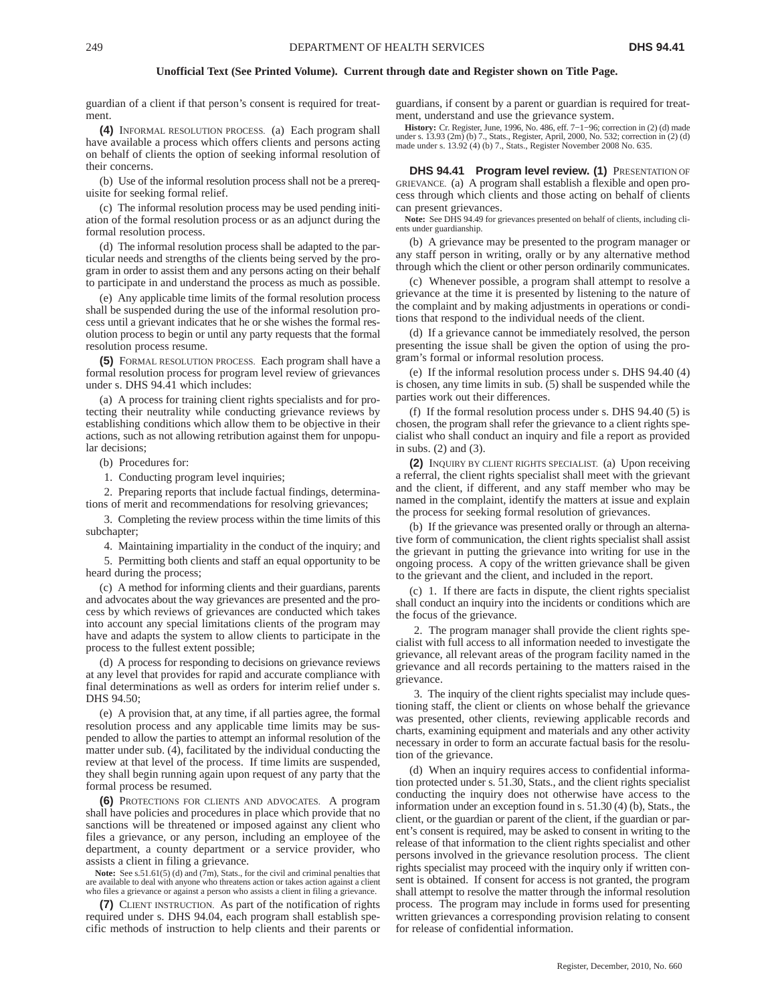guardian of a client if that person's consent is required for treatment.

**(4)** INFORMAL RESOLUTION PROCESS. (a) Each program shall have available a process which offers clients and persons acting on behalf of clients the option of seeking informal resolution of their concerns.

(b) Use of the informal resolution process shall not be a prerequisite for seeking formal relief.

(c) The informal resolution process may be used pending initiation of the formal resolution process or as an adjunct during the formal resolution process.

(d) The informal resolution process shall be adapted to the particular needs and strengths of the clients being served by the program in order to assist them and any persons acting on their behalf to participate in and understand the process as much as possible.

(e) Any applicable time limits of the formal resolution process shall be suspended during the use of the informal resolution process until a grievant indicates that he or she wishes the formal resolution process to begin or until any party requests that the formal resolution process resume.

**(5)** FORMAL RESOLUTION PROCESS. Each program shall have a formal resolution process for program level review of grievances under s. DHS 94.41 which includes:

(a) A process for training client rights specialists and for protecting their neutrality while conducting grievance reviews by establishing conditions which allow them to be objective in their actions, such as not allowing retribution against them for unpopular decisions;

(b) Procedures for:

1. Conducting program level inquiries;

2. Preparing reports that include factual findings, determinations of merit and recommendations for resolving grievances;

3. Completing the review process within the time limits of this subchapter;

4. Maintaining impartiality in the conduct of the inquiry; and

5. Permitting both clients and staff an equal opportunity to be heard during the process;

(c) A method for informing clients and their guardians, parents and advocates about the way grievances are presented and the process by which reviews of grievances are conducted which takes into account any special limitations clients of the program may have and adapts the system to allow clients to participate in the process to the fullest extent possible;

(d) A process for responding to decisions on grievance reviews at any level that provides for rapid and accurate compliance with final determinations as well as orders for interim relief under s. DHS 94.50;

(e) A provision that, at any time, if all parties agree, the formal resolution process and any applicable time limits may be suspended to allow the parties to attempt an informal resolution of the matter under sub.  $(4)$ , facilitated by the individual conducting the review at that level of the process. If time limits are suspended, they shall begin running again upon request of any party that the formal process be resumed.

**(6)** PROTECTIONS FOR CLIENTS AND ADVOCATES. A program shall have policies and procedures in place which provide that no sanctions will be threatened or imposed against any client who files a grievance, or any person, including an employee of the department, a county department or a service provider, who assists a client in filing a grievance.

Note: See s.51.61(5) (d) and (7m), Stats., for the civil and criminal penalties that are available to deal with anyone who threatens action or takes action against a client who files a grievance or against a person who assists a client in filing a grievance.

**(7)** CLIENT INSTRUCTION. As part of the notification of rights required under s. DHS 94.04, each program shall establish specific methods of instruction to help clients and their parents or guardians, if consent by a parent or guardian is required for treatment, understand and use the grievance system.

**History:** Cr. Register, June, 1996, No. 486, eff. 7−1−96; correction in (2) (d) made under s. 13.93 (2m) (b) 7., Stats., Register, April, 2000, No. 532; correction in (2) (d) made under s. 13.92 (4) (b) 7., Stats., Register November 2008 No. 635.

**DHS 94.41 Program level review. (1)** PRESENTATION OF GRIEVANCE. (a) A program shall establish a flexible and open process through which clients and those acting on behalf of clients can present grievances.

**Note:** See DHS 94.49 for grievances presented on behalf of clients, including clients under guardianship.

(b) A grievance may be presented to the program manager or any staff person in writing, orally or by any alternative method through which the client or other person ordinarily communicates.

(c) Whenever possible, a program shall attempt to resolve a grievance at the time it is presented by listening to the nature of the complaint and by making adjustments in operations or conditions that respond to the individual needs of the client.

(d) If a grievance cannot be immediately resolved, the person presenting the issue shall be given the option of using the program's formal or informal resolution process.

(e) If the informal resolution process under s. DHS 94.40 (4) is chosen, any time limits in sub. (5) shall be suspended while the parties work out their differences.

(f) If the formal resolution process under s. DHS 94.40 (5) is chosen, the program shall refer the grievance to a client rights specialist who shall conduct an inquiry and file a report as provided in subs. (2) and (3).

**(2)** INQUIRY BY CLIENT RIGHTS SPECIALIST. (a) Upon receiving a referral, the client rights specialist shall meet with the grievant and the client, if different, and any staff member who may be named in the complaint, identify the matters at issue and explain the process for seeking formal resolution of grievances.

(b) If the grievance was presented orally or through an alternative form of communication, the client rights specialist shall assist the grievant in putting the grievance into writing for use in the ongoing process. A copy of the written grievance shall be given to the grievant and the client, and included in the report.

(c) 1. If there are facts in dispute, the client rights specialist shall conduct an inquiry into the incidents or conditions which are the focus of the grievance.

2. The program manager shall provide the client rights specialist with full access to all information needed to investigate the grievance, all relevant areas of the program facility named in the grievance and all records pertaining to the matters raised in the grievance.

3. The inquiry of the client rights specialist may include questioning staff, the client or clients on whose behalf the grievance was presented, other clients, reviewing applicable records and charts, examining equipment and materials and any other activity necessary in order to form an accurate factual basis for the resolution of the grievance.

(d) When an inquiry requires access to confidential information protected under s. 51.30, Stats., and the client rights specialist conducting the inquiry does not otherwise have access to the information under an exception found in s. 51.30 (4) (b), Stats., the client, or the guardian or parent of the client, if the guardian or parent's consent is required, may be asked to consent in writing to the release of that information to the client rights specialist and other persons involved in the grievance resolution process. The client rights specialist may proceed with the inquiry only if written consent is obtained. If consent for access is not granted, the program shall attempt to resolve the matter through the informal resolution process. The program may include in forms used for presenting written grievances a corresponding provision relating to consent for release of confidential information.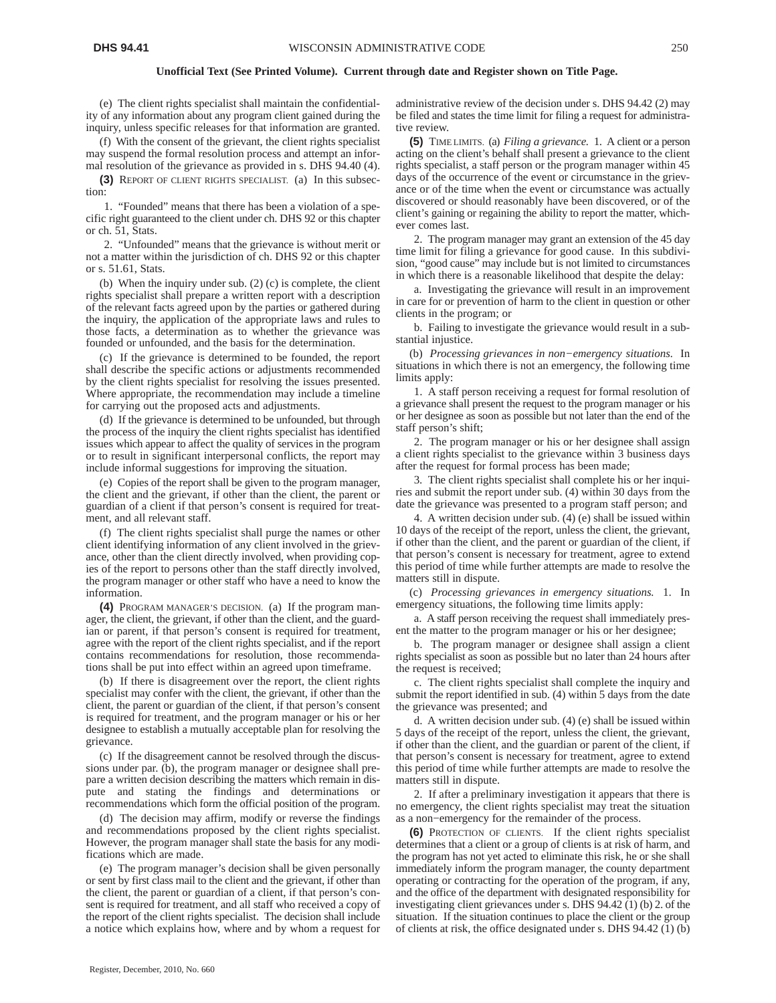(e) The client rights specialist shall maintain the confidentiality of any information about any program client gained during the inquiry, unless specific releases for that information are granted.

(f) With the consent of the grievant, the client rights specialist may suspend the formal resolution process and attempt an informal resolution of the grievance as provided in s. DHS 94.40 (4).

**(3)** REPORT OF CLIENT RIGHTS SPECIALIST. (a) In this subsection:

1. "Founded" means that there has been a violation of a specific right guaranteed to the client under ch. DHS 92 or this chapter or ch. 51, Stats.

2. "Unfounded" means that the grievance is without merit or not a matter within the jurisdiction of ch. DHS 92 or this chapter or s. 51.61, Stats.

(b) When the inquiry under sub. (2) (c) is complete, the client rights specialist shall prepare a written report with a description of the relevant facts agreed upon by the parties or gathered during the inquiry, the application of the appropriate laws and rules to those facts, a determination as to whether the grievance was founded or unfounded, and the basis for the determination.

(c) If the grievance is determined to be founded, the report shall describe the specific actions or adjustments recommended by the client rights specialist for resolving the issues presented. Where appropriate, the recommendation may include a timeline for carrying out the proposed acts and adjustments.

(d) If the grievance is determined to be unfounded, but through the process of the inquiry the client rights specialist has identified issues which appear to affect the quality of services in the program or to result in significant interpersonal conflicts, the report may include informal suggestions for improving the situation.

(e) Copies of the report shall be given to the program manager, the client and the grievant, if other than the client, the parent or guardian of a client if that person's consent is required for treatment, and all relevant staff.

(f) The client rights specialist shall purge the names or other client identifying information of any client involved in the grievance, other than the client directly involved, when providing copies of the report to persons other than the staff directly involved, the program manager or other staff who have a need to know the information.

**(4)** PROGRAM MANAGER'S DECISION. (a) If the program manager, the client, the grievant, if other than the client, and the guardian or parent, if that person's consent is required for treatment, agree with the report of the client rights specialist, and if the report contains recommendations for resolution, those recommendations shall be put into effect within an agreed upon timeframe.

(b) If there is disagreement over the report, the client rights specialist may confer with the client, the grievant, if other than the client, the parent or guardian of the client, if that person's consent is required for treatment, and the program manager or his or her designee to establish a mutually acceptable plan for resolving the grievance.

(c) If the disagreement cannot be resolved through the discussions under par. (b), the program manager or designee shall prepare a written decision describing the matters which remain in dispute and stating the findings and determinations or recommendations which form the official position of the program.

(d) The decision may affirm, modify or reverse the findings and recommendations proposed by the client rights specialist. However, the program manager shall state the basis for any modifications which are made.

(e) The program manager's decision shall be given personally or sent by first class mail to the client and the grievant, if other than the client, the parent or guardian of a client, if that person's consent is required for treatment, and all staff who received a copy of the report of the client rights specialist. The decision shall include a notice which explains how, where and by whom a request for

administrative review of the decision under s. DHS 94.42 (2) may be filed and states the time limit for filing a request for administrative review.

**(5)** TIME LIMITS. (a) *Filing a grievance.* 1. A client or a person acting on the client's behalf shall present a grievance to the client rights specialist, a staff person or the program manager within 45 days of the occurrence of the event or circumstance in the grievance or of the time when the event or circumstance was actually discovered or should reasonably have been discovered, or of the client's gaining or regaining the ability to report the matter, whichever comes last.

2. The program manager may grant an extension of the 45 day time limit for filing a grievance for good cause. In this subdivision, "good cause" may include but is not limited to circumstances in which there is a reasonable likelihood that despite the delay:

a. Investigating the grievance will result in an improvement in care for or prevention of harm to the client in question or other clients in the program; or

b. Failing to investigate the grievance would result in a substantial injustice.

(b) *Processing grievances in non−emergency situations.* In situations in which there is not an emergency, the following time limits apply:

1. A staff person receiving a request for formal resolution of a grievance shall present the request to the program manager or his or her designee as soon as possible but not later than the end of the staff person's shift;

2. The program manager or his or her designee shall assign a client rights specialist to the grievance within 3 business days after the request for formal process has been made;

3. The client rights specialist shall complete his or her inquiries and submit the report under sub. (4) within 30 days from the date the grievance was presented to a program staff person; and

4. A written decision under sub. (4) (e) shall be issued within 10 days of the receipt of the report, unless the client, the grievant, if other than the client, and the parent or guardian of the client, if that person's consent is necessary for treatment, agree to extend this period of time while further attempts are made to resolve the matters still in dispute.

(c) *Processing grievances in emergency situations.* 1. In emergency situations, the following time limits apply:

a. A staff person receiving the request shall immediately present the matter to the program manager or his or her designee;

b. The program manager or designee shall assign a client rights specialist as soon as possible but no later than 24 hours after the request is received;

c. The client rights specialist shall complete the inquiry and submit the report identified in sub. (4) within 5 days from the date the grievance was presented; and

d. A written decision under sub. (4) (e) shall be issued within 5 days of the receipt of the report, unless the client, the grievant, if other than the client, and the guardian or parent of the client, if that person's consent is necessary for treatment, agree to extend this period of time while further attempts are made to resolve the matters still in dispute.

2. If after a preliminary investigation it appears that there is no emergency, the client rights specialist may treat the situation as a non−emergency for the remainder of the process.

**(6)** PROTECTION OF CLIENTS. If the client rights specialist determines that a client or a group of clients is at risk of harm, and the program has not yet acted to eliminate this risk, he or she shall immediately inform the program manager, the county department operating or contracting for the operation of the program, if any, and the office of the department with designated responsibility for investigating client grievances under s. DHS 94.42 (1) (b) 2. of the situation. If the situation continues to place the client or the group of clients at risk, the office designated under s. DHS 94.42 (1) (b)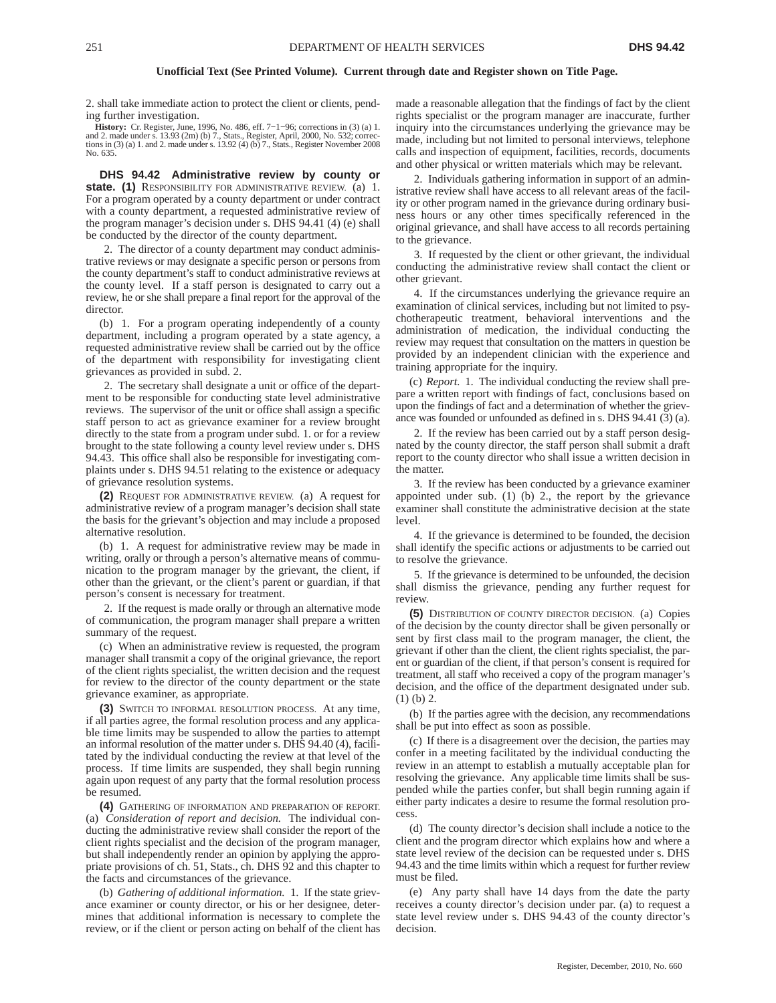2. shall take immediate action to protect the client or clients, pending further investigation.

**History:** Cr. Register, June, 1996, No. 486, eff. 7−1−96; corrections in (3) (a) 1. and 2. made under s.  $13.93$  (2m) (b) 7., Stats., Register, April, 2000, No. 532; corrections in (3) (a) 1. and 2. made under s.  $13.92$  (4) (b) 7., Stats., Register November 2008 No. 635.

**DHS 94.42 Administrative review by county or state. (1)** RESPONSIBILITY FOR ADMINISTRATIVE REVIEW. (a) 1. For a program operated by a county department or under contract with a county department, a requested administrative review of the program manager's decision under s. DHS 94.41 (4) (e) shall be conducted by the director of the county department.

2. The director of a county department may conduct administrative reviews or may designate a specific person or persons from the county department's staff to conduct administrative reviews at the county level. If a staff person is designated to carry out a review, he or she shall prepare a final report for the approval of the director.

(b) 1. For a program operating independently of a county department, including a program operated by a state agency, a requested administrative review shall be carried out by the office of the department with responsibility for investigating client grievances as provided in subd. 2.

2. The secretary shall designate a unit or office of the department to be responsible for conducting state level administrative reviews. The supervisor of the unit or office shall assign a specific staff person to act as grievance examiner for a review brought directly to the state from a program under subd. 1. or for a review brought to the state following a county level review under s. DHS 94.43. This office shall also be responsible for investigating complaints under s. DHS 94.51 relating to the existence or adequacy of grievance resolution systems.

**(2)** REQUEST FOR ADMINISTRATIVE REVIEW. (a) A request for administrative review of a program manager's decision shall state the basis for the grievant's objection and may include a proposed alternative resolution.

(b) 1. A request for administrative review may be made in writing, orally or through a person's alternative means of communication to the program manager by the grievant, the client, if other than the grievant, or the client's parent or guardian, if that person's consent is necessary for treatment.

2. If the request is made orally or through an alternative mode of communication, the program manager shall prepare a written summary of the request.

(c) When an administrative review is requested, the program manager shall transmit a copy of the original grievance, the report of the client rights specialist, the written decision and the request for review to the director of the county department or the state grievance examiner, as appropriate.

**(3)** SWITCH TO INFORMAL RESOLUTION PROCESS. At any time, if all parties agree, the formal resolution process and any applicable time limits may be suspended to allow the parties to attempt an informal resolution of the matter under s. DHS 94.40 (4), facilitated by the individual conducting the review at that level of the process. If time limits are suspended, they shall begin running again upon request of any party that the formal resolution process be resumed.

**(4)** GATHERING OF INFORMATION AND PREPARATION OF REPORT. (a) *Consideration of report and decision.* The individual conducting the administrative review shall consider the report of the client rights specialist and the decision of the program manager, but shall independently render an opinion by applying the appropriate provisions of ch. 51, Stats., ch. DHS 92 and this chapter to the facts and circumstances of the grievance.

(b) *Gathering of additional information.* 1. If the state grievance examiner or county director, or his or her designee, determines that additional information is necessary to complete the review, or if the client or person acting on behalf of the client has made a reasonable allegation that the findings of fact by the client rights specialist or the program manager are inaccurate, further inquiry into the circumstances underlying the grievance may be made, including but not limited to personal interviews, telephone calls and inspection of equipment, facilities, records, documents and other physical or written materials which may be relevant.

2. Individuals gathering information in support of an administrative review shall have access to all relevant areas of the facility or other program named in the grievance during ordinary business hours or any other times specifically referenced in the original grievance, and shall have access to all records pertaining to the grievance.

3. If requested by the client or other grievant, the individual conducting the administrative review shall contact the client or other grievant.

4. If the circumstances underlying the grievance require an examination of clinical services, including but not limited to psychotherapeutic treatment, behavioral interventions and the administration of medication, the individual conducting the review may request that consultation on the matters in question be provided by an independent clinician with the experience and training appropriate for the inquiry.

(c) *Report.* 1. The individual conducting the review shall prepare a written report with findings of fact, conclusions based on upon the findings of fact and a determination of whether the grievance was founded or unfounded as defined in s. DHS 94.41 (3) (a).

If the review has been carried out by a staff person designated by the county director, the staff person shall submit a draft report to the county director who shall issue a written decision in the matter.

3. If the review has been conducted by a grievance examiner appointed under sub. (1) (b) 2., the report by the grievance examiner shall constitute the administrative decision at the state level.

4. If the grievance is determined to be founded, the decision shall identify the specific actions or adjustments to be carried out to resolve the grievance.

5. If the grievance is determined to be unfounded, the decision shall dismiss the grievance, pending any further request for review.

**(5)** DISTRIBUTION OF COUNTY DIRECTOR DECISION. (a) Copies of the decision by the county director shall be given personally or sent by first class mail to the program manager, the client, the grievant if other than the client, the client rights specialist, the parent or guardian of the client, if that person's consent is required for treatment, all staff who received a copy of the program manager's decision, and the office of the department designated under sub. (1) (b) 2.

(b) If the parties agree with the decision, any recommendations shall be put into effect as soon as possible.

(c) If there is a disagreement over the decision, the parties may confer in a meeting facilitated by the individual conducting the review in an attempt to establish a mutually acceptable plan for resolving the grievance. Any applicable time limits shall be suspended while the parties confer, but shall begin running again if either party indicates a desire to resume the formal resolution process.

(d) The county director's decision shall include a notice to the client and the program director which explains how and where a state level review of the decision can be requested under s. DHS 94.43 and the time limits within which a request for further review must be filed.

(e) Any party shall have 14 days from the date the party receives a county director's decision under par. (a) to request a state level review under s. DHS 94.43 of the county director's decision.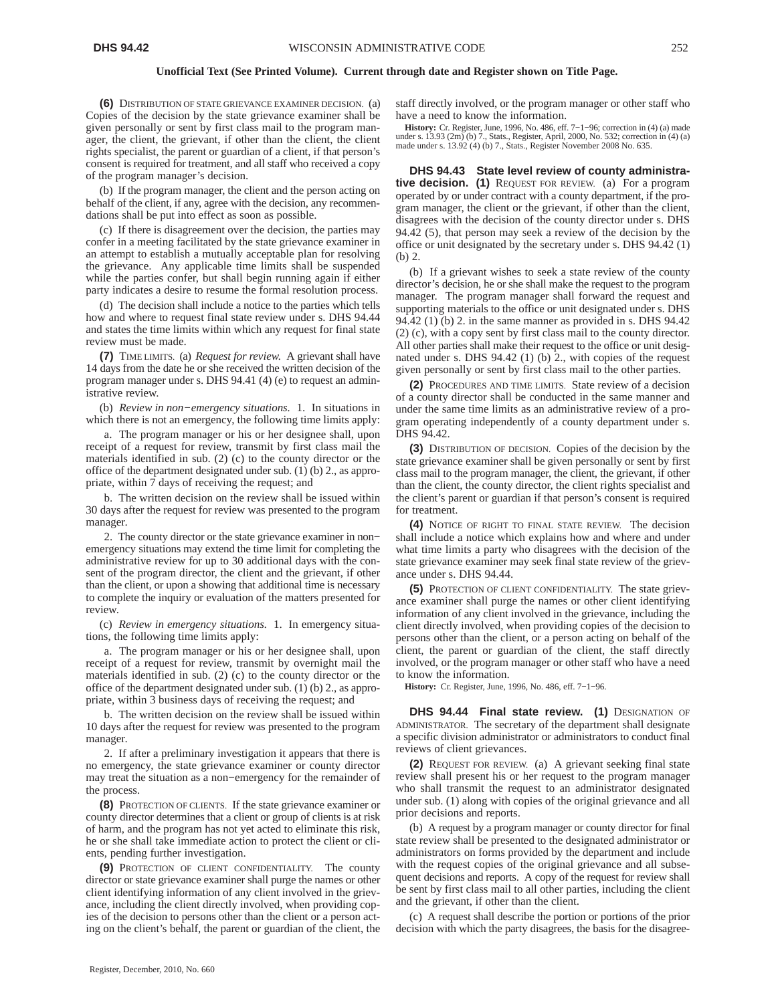**(6)** DISTRIBUTION OF STATE GRIEVANCE EXAMINER DECISION. (a) Copies of the decision by the state grievance examiner shall be given personally or sent by first class mail to the program manager, the client, the grievant, if other than the client, the client rights specialist, the parent or guardian of a client, if that person's consent is required for treatment, and all staff who received a copy of the program manager's decision.

(b) If the program manager, the client and the person acting on behalf of the client, if any, agree with the decision, any recommendations shall be put into effect as soon as possible.

(c) If there is disagreement over the decision, the parties may confer in a meeting facilitated by the state grievance examiner in an attempt to establish a mutually acceptable plan for resolving the grievance. Any applicable time limits shall be suspended while the parties confer, but shall begin running again if either party indicates a desire to resume the formal resolution process.

(d) The decision shall include a notice to the parties which tells how and where to request final state review under s. DHS 94.44 and states the time limits within which any request for final state review must be made.

**(7)** TIME LIMITS. (a) *Request for review.* A grievant shall have 14 days from the date he or she received the written decision of the program manager under s. DHS 94.41 (4) (e) to request an administrative review.

(b) *Review in non−emergency situations.* 1. In situations in which there is not an emergency, the following time limits apply:

a. The program manager or his or her designee shall, upon receipt of a request for review, transmit by first class mail the materials identified in sub. (2) (c) to the county director or the office of the department designated under sub. (1) (b) 2., as appropriate, within 7 days of receiving the request; and

b. The written decision on the review shall be issued within 30 days after the request for review was presented to the program manager.

2. The county director or the state grievance examiner in non− emergency situations may extend the time limit for completing the administrative review for up to 30 additional days with the consent of the program director, the client and the grievant, if other than the client, or upon a showing that additional time is necessary to complete the inquiry or evaluation of the matters presented for review.

(c) *Review in emergency situations.* 1. In emergency situations, the following time limits apply:

a. The program manager or his or her designee shall, upon receipt of a request for review, transmit by overnight mail the materials identified in sub. (2) (c) to the county director or the office of the department designated under sub. (1) (b) 2., as appropriate, within 3 business days of receiving the request; and

b. The written decision on the review shall be issued within 10 days after the request for review was presented to the program manager.

2. If after a preliminary investigation it appears that there is no emergency, the state grievance examiner or county director may treat the situation as a non−emergency for the remainder of the process.

**(8)** PROTECTION OF CLIENTS. If the state grievance examiner or county director determines that a client or group of clients is at risk of harm, and the program has not yet acted to eliminate this risk, he or she shall take immediate action to protect the client or clients, pending further investigation.

**(9)** PROTECTION OF CLIENT CONFIDENTIALITY. The county director or state grievance examiner shall purge the names or other client identifying information of any client involved in the grievance, including the client directly involved, when providing copies of the decision to persons other than the client or a person acting on the client's behalf, the parent or guardian of the client, the staff directly involved, or the program manager or other staff who have a need to know the information.

**History:** Cr. Register, June, 1996, No. 486, eff. 7−1−96; correction in (4) (a) made under s. 13.93 (2m) (b) 7., Stats., Register, April, 2000, No. 532; correction in (4) (a) made under s. 13.92 (4) (b) 7., Stats., Register November 2008 No. 635.

**DHS 94.43 State level review of county administrative decision. (1)** REQUEST FOR REVIEW. (a) For a program operated by or under contract with a county department, if the program manager, the client or the grievant, if other than the client, disagrees with the decision of the county director under s. DHS 94.42 (5), that person may seek a review of the decision by the office or unit designated by the secretary under s. DHS 94.42 (1) (b) 2.

(b) If a grievant wishes to seek a state review of the county director's decision, he or she shall make the request to the program manager. The program manager shall forward the request and supporting materials to the office or unit designated under s. DHS 94.42 (1) (b) 2. in the same manner as provided in s. DHS 94.42 (2) (c), with a copy sent by first class mail to the county director. All other parties shall make their request to the office or unit designated under s. DHS 94.42 (1) (b) 2., with copies of the request given personally or sent by first class mail to the other parties.

**(2)** PROCEDURES AND TIME LIMITS. State review of a decision of a county director shall be conducted in the same manner and under the same time limits as an administrative review of a program operating independently of a county department under s. DHS 94.42.

**(3)** DISTRIBUTION OF DECISION. Copies of the decision by the state grievance examiner shall be given personally or sent by first class mail to the program manager, the client, the grievant, if other than the client, the county director, the client rights specialist and the client's parent or guardian if that person's consent is required for treatment.

**(4)** NOTICE OF RIGHT TO FINAL STATE REVIEW. The decision shall include a notice which explains how and where and under what time limits a party who disagrees with the decision of the state grievance examiner may seek final state review of the grievance under s. DHS 94.44.

**(5)** PROTECTION OF CLIENT CONFIDENTIALITY. The state grievance examiner shall purge the names or other client identifying information of any client involved in the grievance, including the client directly involved, when providing copies of the decision to persons other than the client, or a person acting on behalf of the client, the parent or guardian of the client, the staff directly involved, or the program manager or other staff who have a need to know the information.

**History:** Cr. Register, June, 1996, No. 486, eff. 7−1−96.

**DHS 94.44 Final state review. (1)** DESIGNATION OF ADMINISTRATOR. The secretary of the department shall designate a specific division administrator or administrators to conduct final reviews of client grievances.

**(2)** REQUEST FOR REVIEW. (a) A grievant seeking final state review shall present his or her request to the program manager who shall transmit the request to an administrator designated under sub. (1) along with copies of the original grievance and all prior decisions and reports.

(b) A request by a program manager or county director for final state review shall be presented to the designated administrator or administrators on forms provided by the department and include with the request copies of the original grievance and all subsequent decisions and reports. A copy of the request for review shall be sent by first class mail to all other parties, including the client and the grievant, if other than the client.

(c) A request shall describe the portion or portions of the prior decision with which the party disagrees, the basis for the disagree-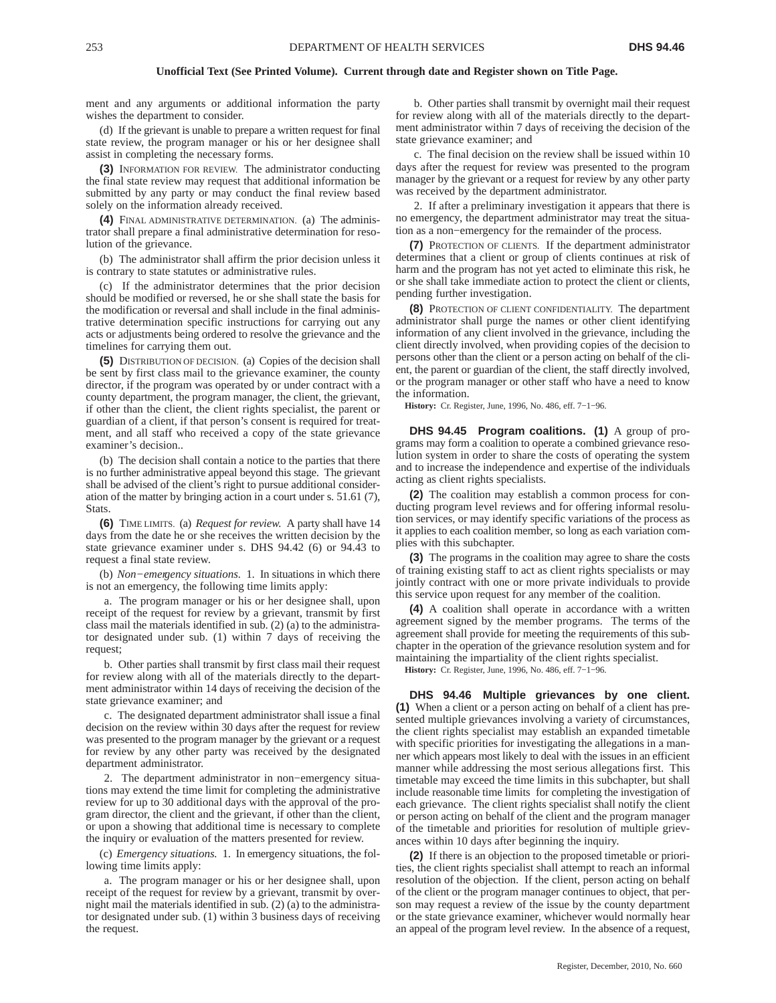ment and any arguments or additional information the party wishes the department to consider.

(d) If the grievant is unable to prepare a written request for final state review, the program manager or his or her designee shall assist in completing the necessary forms.

**(3)** INFORMATION FOR REVIEW. The administrator conducting the final state review may request that additional information be submitted by any party or may conduct the final review based solely on the information already received.

**(4)** FINAL ADMINISTRATIVE DETERMINATION. (a) The administrator shall prepare a final administrative determination for resolution of the grievance.

(b) The administrator shall affirm the prior decision unless it is contrary to state statutes or administrative rules.

(c) If the administrator determines that the prior decision should be modified or reversed, he or she shall state the basis for the modification or reversal and shall include in the final administrative determination specific instructions for carrying out any acts or adjustments being ordered to resolve the grievance and the timelines for carrying them out.

**(5)** DISTRIBUTION OF DECISION. (a) Copies of the decision shall be sent by first class mail to the grievance examiner, the county director, if the program was operated by or under contract with a county department, the program manager, the client, the grievant, if other than the client, the client rights specialist, the parent or guardian of a client, if that person's consent is required for treatment, and all staff who received a copy of the state grievance examiner's decision..

(b) The decision shall contain a notice to the parties that there is no further administrative appeal beyond this stage. The grievant shall be advised of the client's right to pursue additional consideration of the matter by bringing action in a court under s. 51.61 (7), Stats.

**(6)** TIME LIMITS. (a) *Request for review.* A party shall have 14 days from the date he or she receives the written decision by the state grievance examiner under s. DHS 94.42 (6) or 94.43 to request a final state review.

(b) *Non−emergency situations.* 1. In situations in which there is not an emergency, the following time limits apply:

a. The program manager or his or her designee shall, upon receipt of the request for review by a grievant, transmit by first class mail the materials identified in sub. (2) (a) to the administrator designated under sub. (1) within 7 days of receiving the request;

b. Other parties shall transmit by first class mail their request for review along with all of the materials directly to the department administrator within 14 days of receiving the decision of the state grievance examiner; and

c. The designated department administrator shall issue a final decision on the review within 30 days after the request for review was presented to the program manager by the grievant or a request for review by any other party was received by the designated department administrator.

2. The department administrator in non−emergency situations may extend the time limit for completing the administrative review for up to 30 additional days with the approval of the program director, the client and the grievant, if other than the client, or upon a showing that additional time is necessary to complete the inquiry or evaluation of the matters presented for review.

(c) *Emergency situations.* 1. In emergency situations, the following time limits apply:

a. The program manager or his or her designee shall, upon receipt of the request for review by a grievant, transmit by overnight mail the materials identified in sub. (2) (a) to the administrator designated under sub. (1) within 3 business days of receiving the request.

b. Other parties shall transmit by overnight mail their request for review along with all of the materials directly to the department administrator within 7 days of receiving the decision of the state grievance examiner; and

c. The final decision on the review shall be issued within 10 days after the request for review was presented to the program manager by the grievant or a request for review by any other party was received by the department administrator.

2. If after a preliminary investigation it appears that there is no emergency, the department administrator may treat the situation as a non−emergency for the remainder of the process.

**(7)** PROTECTION OF CLIENTS. If the department administrator determines that a client or group of clients continues at risk of harm and the program has not yet acted to eliminate this risk, he or she shall take immediate action to protect the client or clients, pending further investigation.

**(8)** PROTECTION OF CLIENT CONFIDENTIALITY. The department administrator shall purge the names or other client identifying information of any client involved in the grievance, including the client directly involved, when providing copies of the decision to persons other than the client or a person acting on behalf of the client, the parent or guardian of the client, the staff directly involved, or the program manager or other staff who have a need to know the information.

**History:** Cr. Register, June, 1996, No. 486, eff. 7−1−96.

**DHS 94.45 Program coalitions. (1)** A group of programs may form a coalition to operate a combined grievance resolution system in order to share the costs of operating the system and to increase the independence and expertise of the individuals acting as client rights specialists.

**(2)** The coalition may establish a common process for conducting program level reviews and for offering informal resolution services, or may identify specific variations of the process as it applies to each coalition member, so long as each variation complies with this subchapter.

**(3)** The programs in the coalition may agree to share the costs of training existing staff to act as client rights specialists or may jointly contract with one or more private individuals to provide this service upon request for any member of the coalition.

**(4)** A coalition shall operate in accordance with a written agreement signed by the member programs. The terms of the agreement shall provide for meeting the requirements of this subchapter in the operation of the grievance resolution system and for maintaining the impartiality of the client rights specialist.

**History:** Cr. Register, June, 1996, No. 486, eff. 7−1−96.

**DHS 94.46 Multiple grievances by one client. (1)** When a client or a person acting on behalf of a client has presented multiple grievances involving a variety of circumstances, the client rights specialist may establish an expanded timetable with specific priorities for investigating the allegations in a manner which appears most likely to deal with the issues in an efficient manner while addressing the most serious allegations first. This timetable may exceed the time limits in this subchapter, but shall include reasonable time limits for completing the investigation of each grievance. The client rights specialist shall notify the client or person acting on behalf of the client and the program manager of the timetable and priorities for resolution of multiple grievances within 10 days after beginning the inquiry.

**(2)** If there is an objection to the proposed timetable or priorities, the client rights specialist shall attempt to reach an informal resolution of the objection. If the client, person acting on behalf of the client or the program manager continues to object, that person may request a review of the issue by the county department or the state grievance examiner, whichever would normally hear an appeal of the program level review. In the absence of a request,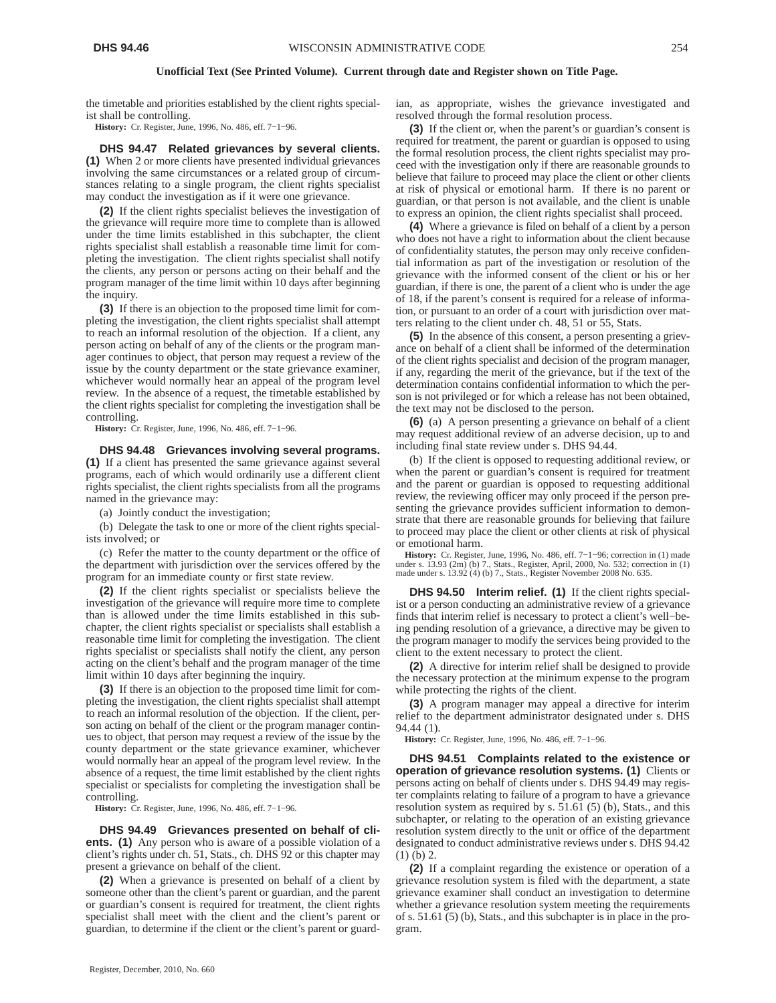the timetable and priorities established by the client rights specialist shall be controlling.

**History:** Cr. Register, June, 1996, No. 486, eff. 7−1−96.

**DHS 94.47 Related grievances by several clients. (1)** When 2 or more clients have presented individual grievances involving the same circumstances or a related group of circumstances relating to a single program, the client rights specialist may conduct the investigation as if it were one grievance.

**(2)** If the client rights specialist believes the investigation of the grievance will require more time to complete than is allowed under the time limits established in this subchapter, the client rights specialist shall establish a reasonable time limit for completing the investigation. The client rights specialist shall notify the clients, any person or persons acting on their behalf and the program manager of the time limit within 10 days after beginning the inquiry.

**(3)** If there is an objection to the proposed time limit for completing the investigation, the client rights specialist shall attempt to reach an informal resolution of the objection. If a client, any person acting on behalf of any of the clients or the program manager continues to object, that person may request a review of the issue by the county department or the state grievance examiner, whichever would normally hear an appeal of the program level review. In the absence of a request, the timetable established by the client rights specialist for completing the investigation shall be controlling.

**History:** Cr. Register, June, 1996, No. 486, eff. 7−1−96.

**DHS 94.48 Grievances involving several programs. (1)** If a client has presented the same grievance against several programs, each of which would ordinarily use a different client rights specialist, the client rights specialists from all the programs named in the grievance may:

(a) Jointly conduct the investigation;

(b) Delegate the task to one or more of the client rights specialists involved; or

(c) Refer the matter to the county department or the office of the department with jurisdiction over the services offered by the program for an immediate county or first state review.

**(2)** If the client rights specialist or specialists believe the investigation of the grievance will require more time to complete than is allowed under the time limits established in this subchapter, the client rights specialist or specialists shall establish a reasonable time limit for completing the investigation. The client rights specialist or specialists shall notify the client, any person acting on the client's behalf and the program manager of the time limit within 10 days after beginning the inquiry.

**(3)** If there is an objection to the proposed time limit for completing the investigation, the client rights specialist shall attempt to reach an informal resolution of the objection. If the client, person acting on behalf of the client or the program manager continues to object, that person may request a review of the issue by the county department or the state grievance examiner, whichever would normally hear an appeal of the program level review. In the absence of a request, the time limit established by the client rights specialist or specialists for completing the investigation shall be controlling.

**History:** Cr. Register, June, 1996, No. 486, eff. 7−1−96.

**DHS 94.49 Grievances presented on behalf of clients. (1)** Any person who is aware of a possible violation of a client's rights under ch. 51, Stats., ch. DHS 92 or this chapter may present a grievance on behalf of the client.

**(2)** When a grievance is presented on behalf of a client by someone other than the client's parent or guardian, and the parent or guardian's consent is required for treatment, the client rights specialist shall meet with the client and the client's parent or guardian, to determine if the client or the client's parent or guardian, as appropriate, wishes the grievance investigated and resolved through the formal resolution process.

**(3)** If the client or, when the parent's or guardian's consent is required for treatment, the parent or guardian is opposed to using the formal resolution process, the client rights specialist may proceed with the investigation only if there are reasonable grounds to believe that failure to proceed may place the client or other clients at risk of physical or emotional harm. If there is no parent or guardian, or that person is not available, and the client is unable to express an opinion, the client rights specialist shall proceed.

**(4)** Where a grievance is filed on behalf of a client by a person who does not have a right to information about the client because of confidentiality statutes, the person may only receive confidential information as part of the investigation or resolution of the grievance with the informed consent of the client or his or her guardian, if there is one, the parent of a client who is under the age of 18, if the parent's consent is required for a release of information, or pursuant to an order of a court with jurisdiction over matters relating to the client under ch. 48, 51 or 55, Stats.

**(5)** In the absence of this consent, a person presenting a grievance on behalf of a client shall be informed of the determination of the client rights specialist and decision of the program manager, if any, regarding the merit of the grievance, but if the text of the determination contains confidential information to which the person is not privileged or for which a release has not been obtained, the text may not be disclosed to the person.

**(6)** (a) A person presenting a grievance on behalf of a client may request additional review of an adverse decision, up to and including final state review under s. DHS 94.44.

(b) If the client is opposed to requesting additional review, or when the parent or guardian's consent is required for treatment and the parent or guardian is opposed to requesting additional review, the reviewing officer may only proceed if the person presenting the grievance provides sufficient information to demonstrate that there are reasonable grounds for believing that failure to proceed may place the client or other clients at risk of physical or emotional harm.

**History:** Cr. Register, June, 1996, No. 486, eff. 7–1–96; correction in (1) made under s. 13.93; correction in (1) made under s. 13.93; correction in (1) made under s. 13.92 (4) (b) 7., Stats., Register November 2008 No.

**DHS 94.50 Interim relief. (1)** If the client rights specialist or a person conducting an administrative review of a grievance finds that interim relief is necessary to protect a client's well−being pending resolution of a grievance, a directive may be given to the program manager to modify the services being provided to the client to the extent necessary to protect the client.

**(2)** A directive for interim relief shall be designed to provide the necessary protection at the minimum expense to the program while protecting the rights of the client.

**(3)** A program manager may appeal a directive for interim relief to the department administrator designated under s. DHS 94.44 (1).

**History:** Cr. Register, June, 1996, No. 486, eff. 7−1−96.

**DHS 94.51 Complaints related to the existence or operation of grievance resolution systems. (1)** Clients or persons acting on behalf of clients under s. DHS 94.49 may register complaints relating to failure of a program to have a grievance resolution system as required by s. 51.61 (5) (b), Stats., and this subchapter, or relating to the operation of an existing grievance resolution system directly to the unit or office of the department designated to conduct administrative reviews under s. DHS 94.42 (1) (b) 2.

**(2)** If a complaint regarding the existence or operation of a grievance resolution system is filed with the department, a state grievance examiner shall conduct an investigation to determine whether a grievance resolution system meeting the requirements of s. 51.61 (5) (b), Stats., and this subchapter is in place in the program.